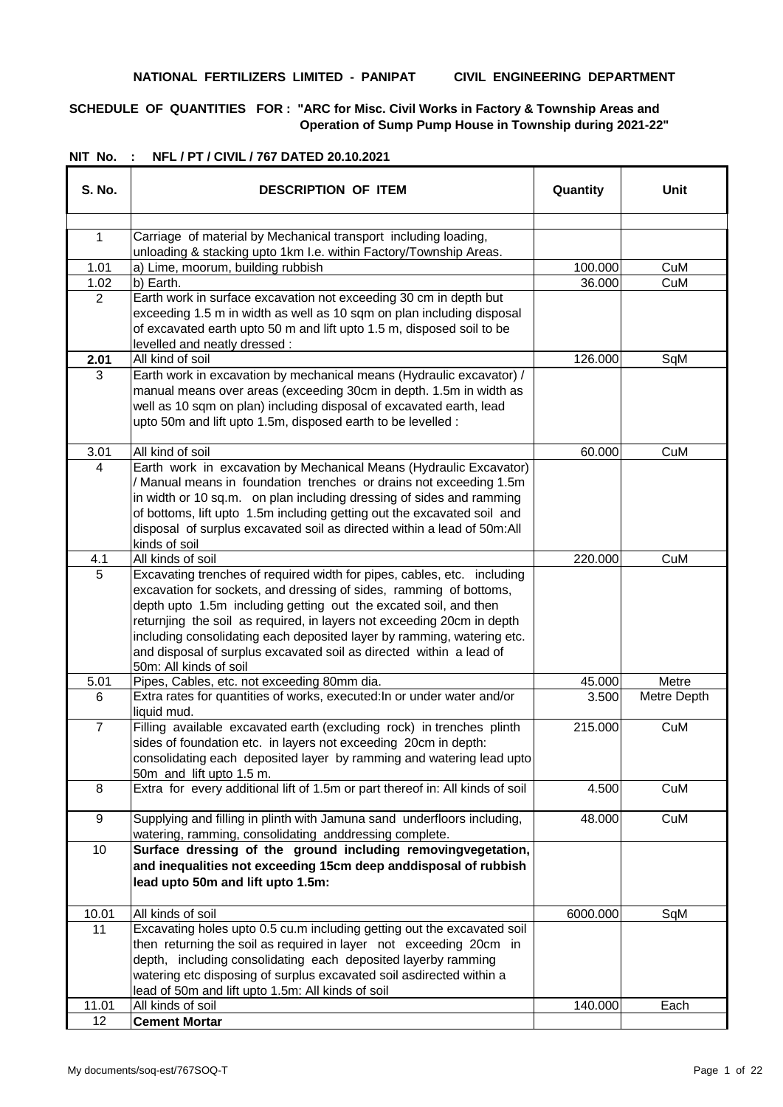#### **NATIONAL FERTILIZERS LIMITED - PANIPAT CIVIL ENGINEERING DEPARTMENT**

# **SCHEDULE OF QUANTITIES FOR : "ARC for Misc. Civil Works in Factory & Township Areas and Operation of Sump Pump House in Township during 2021-22"**

| S. No.         | <b>DESCRIPTION OF ITEM</b>                                                                                                                                                                                                                                                                                                                                                                                                                                             | Quantity | Unit        |
|----------------|------------------------------------------------------------------------------------------------------------------------------------------------------------------------------------------------------------------------------------------------------------------------------------------------------------------------------------------------------------------------------------------------------------------------------------------------------------------------|----------|-------------|
|                |                                                                                                                                                                                                                                                                                                                                                                                                                                                                        |          |             |
| $\mathbf{1}$   | Carriage of material by Mechanical transport including loading,                                                                                                                                                                                                                                                                                                                                                                                                        |          |             |
| 1.01           | unloading & stacking upto 1km I.e. within Factory/Township Areas.<br>a) Lime, moorum, building rubbish                                                                                                                                                                                                                                                                                                                                                                 | 100.000  | CuM         |
| 1.02           | b) Earth.                                                                                                                                                                                                                                                                                                                                                                                                                                                              | 36.000   | CuM         |
| 2              | Earth work in surface excavation not exceeding 30 cm in depth but                                                                                                                                                                                                                                                                                                                                                                                                      |          |             |
|                | exceeding 1.5 m in width as well as 10 sqm on plan including disposal<br>of excavated earth upto 50 m and lift upto 1.5 m, disposed soil to be<br>levelled and neatly dressed:                                                                                                                                                                                                                                                                                         |          |             |
| 2.01           | All kind of soil                                                                                                                                                                                                                                                                                                                                                                                                                                                       | 126.000  | SqM         |
| 3              | Earth work in excavation by mechanical means (Hydraulic excavator) /<br>manual means over areas (exceeding 30cm in depth. 1.5m in width as<br>well as 10 sqm on plan) including disposal of excavated earth, lead<br>upto 50m and lift upto 1.5m, disposed earth to be levelled :                                                                                                                                                                                      |          |             |
| 3.01           | All kind of soil                                                                                                                                                                                                                                                                                                                                                                                                                                                       | 60.000   | CuM         |
| 4              | Earth work in excavation by Mechanical Means (Hydraulic Excavator)<br>/ Manual means in foundation trenches or drains not exceeding 1.5m<br>in width or 10 sq.m. on plan including dressing of sides and ramming<br>of bottoms, lift upto 1.5m including getting out the excavated soil and<br>disposal of surplus excavated soil as directed within a lead of 50m:All<br>kinds of soil                                                                                |          |             |
| 4.1            | All kinds of soil                                                                                                                                                                                                                                                                                                                                                                                                                                                      | 220.000  | CuM         |
| 5              | Excavating trenches of required width for pipes, cables, etc. including<br>excavation for sockets, and dressing of sides, ramming of bottoms,<br>depth upto 1.5m including getting out the excated soil, and then<br>returnjing the soil as required, in layers not exceeding 20cm in depth<br>including consolidating each deposited layer by ramming, watering etc.<br>and disposal of surplus excavated soil as directed within a lead of<br>50m: All kinds of soil |          |             |
| 5.01           | Pipes, Cables, etc. not exceeding 80mm dia.                                                                                                                                                                                                                                                                                                                                                                                                                            | 45.000   | Metre       |
| 6              | Extra rates for quantities of works, executed: In or under water and/or<br>liquid mud.                                                                                                                                                                                                                                                                                                                                                                                 | 3.500    | Metre Depth |
| $\overline{7}$ | Filling available excavated earth (excluding rock) in trenches plinth<br>sides of foundation etc. in layers not exceeding 20cm in depth:<br>consolidating each deposited layer by ramming and watering lead upto<br>50m and lift upto 1.5 m.                                                                                                                                                                                                                           | 215.000  | CuM         |
| 8              | Extra for every additional lift of 1.5m or part thereof in: All kinds of soil                                                                                                                                                                                                                                                                                                                                                                                          | 4.500    | CuM         |
| 9              | Supplying and filling in plinth with Jamuna sand underfloors including,<br>watering, ramming, consolidating anddressing complete.                                                                                                                                                                                                                                                                                                                                      | 48.000   | CuM         |
| 10             | Surface dressing of the ground including removingvegetation,<br>and inequalities not exceeding 15cm deep anddisposal of rubbish<br>lead upto 50m and lift upto 1.5m:                                                                                                                                                                                                                                                                                                   |          |             |
| 10.01          | All kinds of soil                                                                                                                                                                                                                                                                                                                                                                                                                                                      | 6000.000 | SqM         |
| 11             | Excavating holes upto 0.5 cu.m including getting out the excavated soil<br>then returning the soil as required in layer not exceeding 20cm in<br>depth, including consolidating each deposited layerby ramming<br>watering etc disposing of surplus excavated soil asdirected within a<br>lead of 50m and lift upto 1.5m: All kinds of soil                                                                                                                            |          |             |
| 11.01          | All kinds of soil                                                                                                                                                                                                                                                                                                                                                                                                                                                      | 140.000  | Each        |
| 12             | <b>Cement Mortar</b>                                                                                                                                                                                                                                                                                                                                                                                                                                                   |          |             |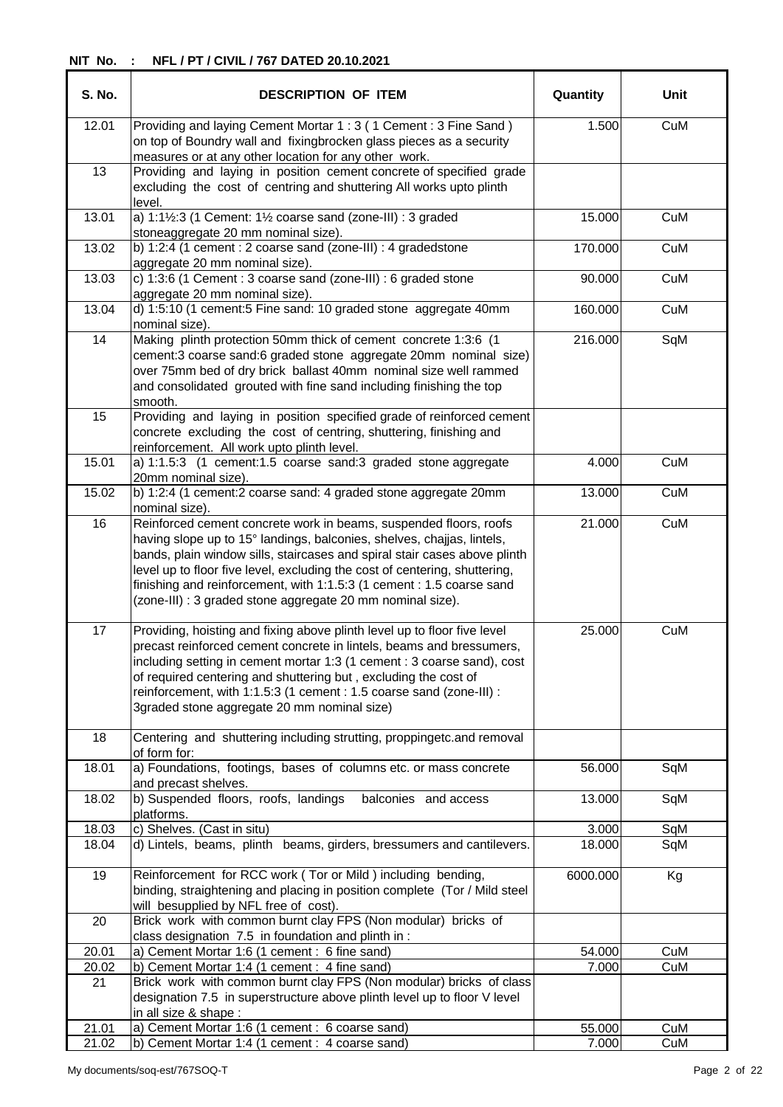| <b>S. No.</b> | <b>DESCRIPTION OF ITEM</b>                                                                                                                                                                                                                                                                                                                                                                                                                    | Quantity | Unit |
|---------------|-----------------------------------------------------------------------------------------------------------------------------------------------------------------------------------------------------------------------------------------------------------------------------------------------------------------------------------------------------------------------------------------------------------------------------------------------|----------|------|
| 12.01         | Providing and laying Cement Mortar 1: 3 (1 Cement: 3 Fine Sand)<br>on top of Boundry wall and fixingbrocken glass pieces as a security<br>measures or at any other location for any other work.                                                                                                                                                                                                                                               | 1.500    | CuM  |
| 13            | Providing and laying in position cement concrete of specified grade<br>excluding the cost of centring and shuttering All works upto plinth<br>level.                                                                                                                                                                                                                                                                                          |          |      |
| 13.01         | a) 1:1½:3 (1 Cement: 1½ coarse sand (zone-III) : 3 graded<br>stoneaggregate 20 mm nominal size).                                                                                                                                                                                                                                                                                                                                              | 15.000   | CuM  |
| 13.02         | b) 1:2:4 (1 cement : 2 coarse sand (zone-III) : $\overline{4}$ gradedstone<br>aggregate 20 mm nominal size).                                                                                                                                                                                                                                                                                                                                  | 170.000  | CuM  |
| 13.03         | c) 1:3:6 (1 Cement : 3 coarse sand (zone-III) : 6 graded stone<br>aggregate 20 mm nominal size).                                                                                                                                                                                                                                                                                                                                              | 90.000   | CuM  |
| 13.04         | d) 1:5:10 (1 cement:5 Fine sand: 10 graded stone aggregate 40mm<br>nominal size).                                                                                                                                                                                                                                                                                                                                                             | 160.000  | CuM  |
| 14            | Making plinth protection 50mm thick of cement concrete 1:3:6 (1<br>cement:3 coarse sand:6 graded stone aggregate 20mm nominal size)<br>over 75mm bed of dry brick ballast 40mm nominal size well rammed<br>and consolidated grouted with fine sand including finishing the top<br>smooth.                                                                                                                                                     | 216.000  | SqM  |
| 15            | Providing and laying in position specified grade of reinforced cement<br>concrete excluding the cost of centring, shuttering, finishing and<br>reinforcement. All work upto plinth level.                                                                                                                                                                                                                                                     |          |      |
| 15.01         | a) 1:1.5:3 (1 cement:1.5 coarse sand:3 graded stone aggregate<br>20mm nominal size).                                                                                                                                                                                                                                                                                                                                                          | 4.000    | CuM  |
| 15.02         | b) 1:2:4 (1 cement:2 coarse sand: 4 graded stone aggregate 20mm<br>nominal size).                                                                                                                                                                                                                                                                                                                                                             | 13.000   | CuM  |
| 16            | Reinforced cement concrete work in beams, suspended floors, roofs<br>having slope up to 15° landings, balconies, shelves, chajjas, lintels,<br>bands, plain window sills, staircases and spiral stair cases above plinth<br>level up to floor five level, excluding the cost of centering, shuttering,<br>finishing and reinforcement, with 1:1.5:3 (1 cement : 1.5 coarse sand<br>(zone-III) : 3 graded stone aggregate 20 mm nominal size). | 21.000   | CuM  |
| 17            | Providing, hoisting and fixing above plinth level up to floor five level<br>precast reinforced cement concrete in lintels, beams and bressumers,<br>including setting in cement mortar 1:3 (1 cement : 3 coarse sand), cost<br>of required centering and shuttering but, excluding the cost of<br>reinforcement, with 1:1.5:3 (1 cement : 1.5 coarse sand (zone-III) :<br>3graded stone aggregate 20 mm nominal size)                         | 25.000   | CuM  |
| 18            | Centering and shuttering including strutting, proppingetc.and removal<br>of form for:                                                                                                                                                                                                                                                                                                                                                         |          |      |
| 18.01         | a) Foundations, footings, bases of columns etc. or mass concrete<br>and precast shelves.                                                                                                                                                                                                                                                                                                                                                      | 56.000   | SqM  |
| 18.02         | b) Suspended floors, roofs, landings<br>balconies and access<br>platforms.                                                                                                                                                                                                                                                                                                                                                                    | 13.000   | SqM  |
| 18.03         | c) Shelves. (Cast in situ)                                                                                                                                                                                                                                                                                                                                                                                                                    | 3.000    | SqM  |
| 18.04         | d) Lintels, beams, plinth beams, girders, bressumers and cantilevers.                                                                                                                                                                                                                                                                                                                                                                         | 18.000   | SqM  |
| 19            | Reinforcement for RCC work (Tor or Mild ) including bending,<br>binding, straightening and placing in position complete (Tor / Mild steel<br>will besupplied by NFL free of cost).                                                                                                                                                                                                                                                            | 6000.000 | Kg   |
| 20            | Brick work with common burnt clay FPS (Non modular) bricks of<br>class designation 7.5 in foundation and plinth in :                                                                                                                                                                                                                                                                                                                          |          |      |
| 20.01         | a) Cement Mortar 1:6 (1 cement : 6 fine sand)                                                                                                                                                                                                                                                                                                                                                                                                 | 54.000   | CuM  |
| 20.02         | b) Cement Mortar 1:4 (1 cement : 4 fine sand)                                                                                                                                                                                                                                                                                                                                                                                                 | 7.000    | CuM  |
| 21            | Brick work with common burnt clay FPS (Non modular) bricks of class<br>designation 7.5 in superstructure above plinth level up to floor V level<br>in all size & shape:                                                                                                                                                                                                                                                                       |          |      |
| 21.01         | a) Cement Mortar 1:6 (1 cement : 6 coarse sand)                                                                                                                                                                                                                                                                                                                                                                                               | 55.000   | CuM  |
| 21.02         | b) Cement Mortar 1:4 (1 cement : 4 coarse sand)                                                                                                                                                                                                                                                                                                                                                                                               | 7.000    | CuM  |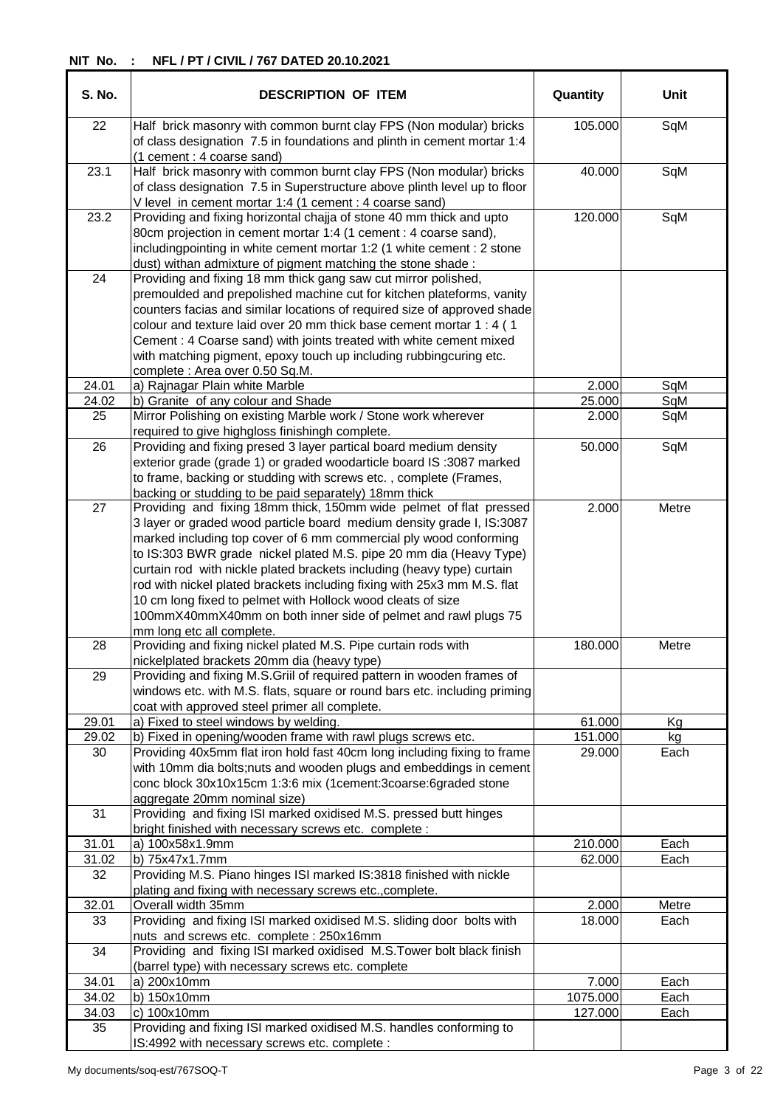| <b>S. No.</b> | <b>DESCRIPTION OF ITEM</b>                                                                                                                                                                                                                                                                                                                                                                                                                                                                                                                                                                                | Quantity | <b>Unit</b> |
|---------------|-----------------------------------------------------------------------------------------------------------------------------------------------------------------------------------------------------------------------------------------------------------------------------------------------------------------------------------------------------------------------------------------------------------------------------------------------------------------------------------------------------------------------------------------------------------------------------------------------------------|----------|-------------|
| 22            | Half brick masonry with common burnt clay FPS (Non modular) bricks<br>of class designation 7.5 in foundations and plinth in cement mortar 1:4<br>(1 cement : 4 coarse sand)                                                                                                                                                                                                                                                                                                                                                                                                                               | 105.000  | SqM         |
| 23.1          | Half brick masonry with common burnt clay FPS (Non modular) bricks<br>of class designation 7.5 in Superstructure above plinth level up to floor<br>V level in cement mortar 1:4 (1 cement : 4 coarse sand)                                                                                                                                                                                                                                                                                                                                                                                                | 40.000   | SqM         |
| 23.2          | Providing and fixing horizontal chajja of stone 40 mm thick and upto<br>80cm projection in cement mortar 1:4 (1 cement : 4 coarse sand),<br>includingpointing in white cement mortar 1:2 (1 white cement : 2 stone<br>dust) withan admixture of pigment matching the stone shade:                                                                                                                                                                                                                                                                                                                         | 120.000  | SqM         |
| 24            | Providing and fixing 18 mm thick gang saw cut mirror polished,<br>premoulded and prepolished machine cut for kitchen plateforms, vanity<br>counters facias and similar locations of required size of approved shade<br>colour and texture laid over 20 mm thick base cement mortar 1 : 4 (1<br>Cement : 4 Coarse sand) with joints treated with white cement mixed<br>with matching pigment, epoxy touch up including rubbingcuring etc.<br>complete : Area over 0.50 Sq.M.                                                                                                                               |          |             |
| 24.01         | a) Rajnagar Plain white Marble                                                                                                                                                                                                                                                                                                                                                                                                                                                                                                                                                                            | 2.000    | SqM         |
| 24.02         | b) Granite of any colour and Shade                                                                                                                                                                                                                                                                                                                                                                                                                                                                                                                                                                        | 25.000   | SqM         |
| 25            | Mirror Polishing on existing Marble work / Stone work wherever<br>required to give highgloss finishingh complete.                                                                                                                                                                                                                                                                                                                                                                                                                                                                                         | 2.000    | SqM         |
| 26            | Providing and fixing presed 3 layer partical board medium density<br>exterior grade (grade 1) or graded woodarticle board IS :3087 marked<br>to frame, backing or studding with screws etc., complete (Frames,<br>backing or studding to be paid separately) 18mm thick                                                                                                                                                                                                                                                                                                                                   | 50.000   | SqM         |
| 27            | Providing and fixing 18mm thick, 150mm wide pelmet of flat pressed<br>3 layer or graded wood particle board medium density grade I, IS:3087<br>marked including top cover of 6 mm commercial ply wood conforming<br>to IS:303 BWR grade nickel plated M.S. pipe 20 mm dia (Heavy Type)<br>curtain rod with nickle plated brackets including (heavy type) curtain<br>rod with nickel plated brackets including fixing with 25x3 mm M.S. flat<br>10 cm long fixed to pelmet with Hollock wood cleats of size<br>100mmX40mmX40mm on both inner side of pelmet and rawl plugs 75<br>mm long etc all complete. | 2.000    | Metre       |
| 28            | Providing and fixing nickel plated M.S. Pipe curtain rods with<br>nickelplated brackets 20mm dia (heavy type)                                                                                                                                                                                                                                                                                                                                                                                                                                                                                             | 180.000  | Metre       |
| 29            | Providing and fixing M.S.Griil of required pattern in wooden frames of<br>windows etc. with M.S. flats, square or round bars etc. including priming<br>coat with approved steel primer all complete.                                                                                                                                                                                                                                                                                                                                                                                                      |          |             |
| 29.01         | a) Fixed to steel windows by welding.                                                                                                                                                                                                                                                                                                                                                                                                                                                                                                                                                                     | 61.000   | Kg          |
| 29.02         | b) Fixed in opening/wooden frame with rawl plugs screws etc.                                                                                                                                                                                                                                                                                                                                                                                                                                                                                                                                              | 151.000  | kg          |
| 30<br>31      | Providing 40x5mm flat iron hold fast 40cm long including fixing to frame<br>with 10mm dia bolts; nuts and wooden plugs and embeddings in cement<br>conc block 30x10x15cm 1:3:6 mix (1cement:3coarse:6graded stone<br>aggregate 20mm nominal size)<br>Providing and fixing ISI marked oxidised M.S. pressed butt hinges                                                                                                                                                                                                                                                                                    | 29.000   | Each        |
|               | bright finished with necessary screws etc. complete :                                                                                                                                                                                                                                                                                                                                                                                                                                                                                                                                                     |          |             |
| 31.01         | a) 100x58x1.9mm                                                                                                                                                                                                                                                                                                                                                                                                                                                                                                                                                                                           | 210.000  | Each        |
| 31.02         | b) 75x47x1.7mm                                                                                                                                                                                                                                                                                                                                                                                                                                                                                                                                                                                            | 62.000   | Each        |
| 32            | Providing M.S. Piano hinges ISI marked IS:3818 finished with nickle<br>plating and fixing with necessary screws etc., complete.                                                                                                                                                                                                                                                                                                                                                                                                                                                                           |          |             |
| 32.01         | Overall width 35mm                                                                                                                                                                                                                                                                                                                                                                                                                                                                                                                                                                                        | 2.000    | Metre       |
| 33            | Providing and fixing ISI marked oxidised M.S. sliding door bolts with<br>nuts and screws etc. complete: 250x16mm                                                                                                                                                                                                                                                                                                                                                                                                                                                                                          | 18.000   | Each        |
| 34            | Providing and fixing ISI marked oxidised M.S.Tower bolt black finish<br>(barrel type) with necessary screws etc. complete                                                                                                                                                                                                                                                                                                                                                                                                                                                                                 |          |             |
| 34.01         | a) 200x10mm                                                                                                                                                                                                                                                                                                                                                                                                                                                                                                                                                                                               | 7.000    | Each        |
| 34.02         | b) 150x10mm                                                                                                                                                                                                                                                                                                                                                                                                                                                                                                                                                                                               | 1075.000 | Each        |
| 34.03<br>35   | c) 100x10mm<br>Providing and fixing ISI marked oxidised M.S. handles conforming to<br>IS:4992 with necessary screws etc. complete :                                                                                                                                                                                                                                                                                                                                                                                                                                                                       | 127.000  | Each        |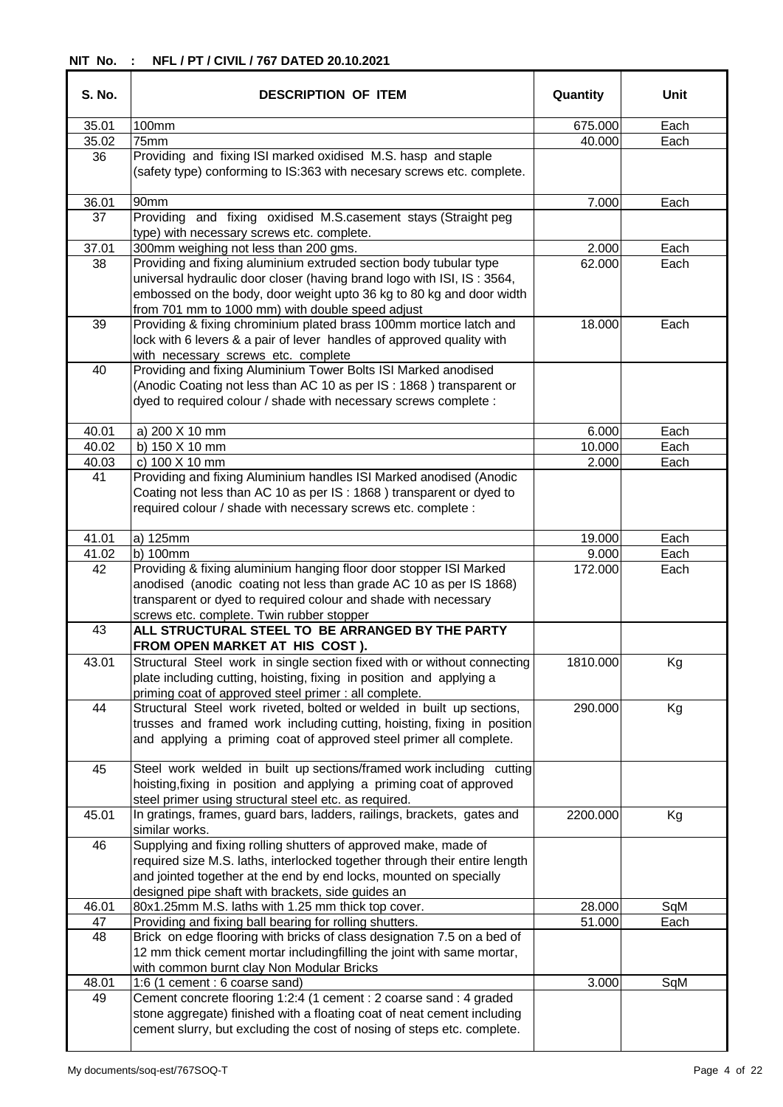| <b>S. No.</b> | <b>DESCRIPTION OF ITEM</b>                                                                                                                                                                                                                                               | Quantity | Unit |
|---------------|--------------------------------------------------------------------------------------------------------------------------------------------------------------------------------------------------------------------------------------------------------------------------|----------|------|
| 35.01         | 100mm                                                                                                                                                                                                                                                                    | 675.000  | Each |
| 35.02         | 75mm                                                                                                                                                                                                                                                                     | 40.000   | Each |
| 36            | Providing and fixing ISI marked oxidised M.S. hasp and staple<br>(safety type) conforming to IS:363 with necesary screws etc. complete.                                                                                                                                  |          |      |
| 36.01         | 90mm                                                                                                                                                                                                                                                                     | 7.000    | Each |
| 37            | Providing and fixing oxidised M.S.casement stays (Straight peg<br>type) with necessary screws etc. complete.                                                                                                                                                             |          |      |
| 37.01         | 300mm weighing not less than 200 gms.                                                                                                                                                                                                                                    | 2.000    | Each |
| 38            | Providing and fixing aluminium extruded section body tubular type<br>universal hydraulic door closer (having brand logo with ISI, IS: 3564,<br>embossed on the body, door weight upto 36 kg to 80 kg and door width<br>from 701 mm to 1000 mm) with double speed adjust  | 62.000   | Each |
| 39<br>40      | Providing & fixing chrominium plated brass 100mm mortice latch and<br>lock with 6 levers & a pair of lever handles of approved quality with<br>with necessary screws etc. complete<br>Providing and fixing Aluminium Tower Bolts ISI Marked anodised                     | 18.000   | Each |
|               | (Anodic Coating not less than AC 10 as per IS : 1868) transparent or<br>dyed to required colour / shade with necessary screws complete :                                                                                                                                 |          |      |
| 40.01         | a) 200 X 10 mm                                                                                                                                                                                                                                                           | 6.000    | Each |
| 40.02         | b) 150 X 10 mm                                                                                                                                                                                                                                                           | 10.000   | Each |
| 40.03<br>41   | c) 100 X 10 mm<br>Providing and fixing Aluminium handles ISI Marked anodised (Anodic<br>Coating not less than AC 10 as per IS: 1868) transparent or dyed to<br>required colour / shade with necessary screws etc. complete :                                             | 2.000    | Each |
|               |                                                                                                                                                                                                                                                                          |          |      |
| 41.01         | a) 125mm                                                                                                                                                                                                                                                                 | 19.000   | Each |
| 41.02         | $b)$ 100 $mm$                                                                                                                                                                                                                                                            | 9.000    | Each |
| 42            | Providing & fixing aluminium hanging floor door stopper ISI Marked<br>anodised (anodic coating not less than grade AC 10 as per IS 1868)<br>transparent or dyed to required colour and shade with necessary<br>screws etc. complete. Twin rubber stopper                 | 172.000  | Each |
| 43            | ALL STRUCTURAL STEEL TO BE ARRANGED BY THE PARTY<br>FROM OPEN MARKET AT HIS COST).                                                                                                                                                                                       |          |      |
| 43.01         | Structural Steel work in single section fixed with or without connecting<br>plate including cutting, hoisting, fixing in position and applying a<br>priming coat of approved steel primer : all complete.                                                                | 1810.000 | Kg   |
| 44            | Structural Steel work riveted, bolted or welded in built up sections,<br>trusses and framed work including cutting, hoisting, fixing in position<br>and applying a priming coat of approved steel primer all complete.                                                   | 290.000  | Kg   |
| 45            | Steel work welded in built up sections/framed work including cutting<br>hoisting, fixing in position and applying a priming coat of approved<br>steel primer using structural steel etc. as required.                                                                    |          |      |
| 45.01         | In gratings, frames, guard bars, ladders, railings, brackets, gates and<br>similar works.                                                                                                                                                                                | 2200.000 | Kg   |
| 46            | Supplying and fixing rolling shutters of approved make, made of<br>required size M.S. laths, interlocked together through their entire length<br>and jointed together at the end by end locks, mounted on specially<br>designed pipe shaft with brackets, side guides an |          |      |
| 46.01         | 80x1.25mm M.S. laths with 1.25 mm thick top cover.                                                                                                                                                                                                                       | 28.000   | SqM  |
| 47<br>48      | Providing and fixing ball bearing for rolling shutters.<br>Brick on edge flooring with bricks of class designation 7.5 on a bed of<br>12 mm thick cement mortar includingfilling the joint with same mortar,<br>with common burnt clay Non Modular Bricks                | 51.000   | Each |
| 48.01<br>49   | 1:6 (1 cement : 6 coarse sand)<br>Cement concrete flooring 1:2:4 (1 cement : 2 coarse sand : 4 graded<br>stone aggregate) finished with a floating coat of neat cement including<br>cement slurry, but excluding the cost of nosing of steps etc. complete.              | 3.000    | SqM  |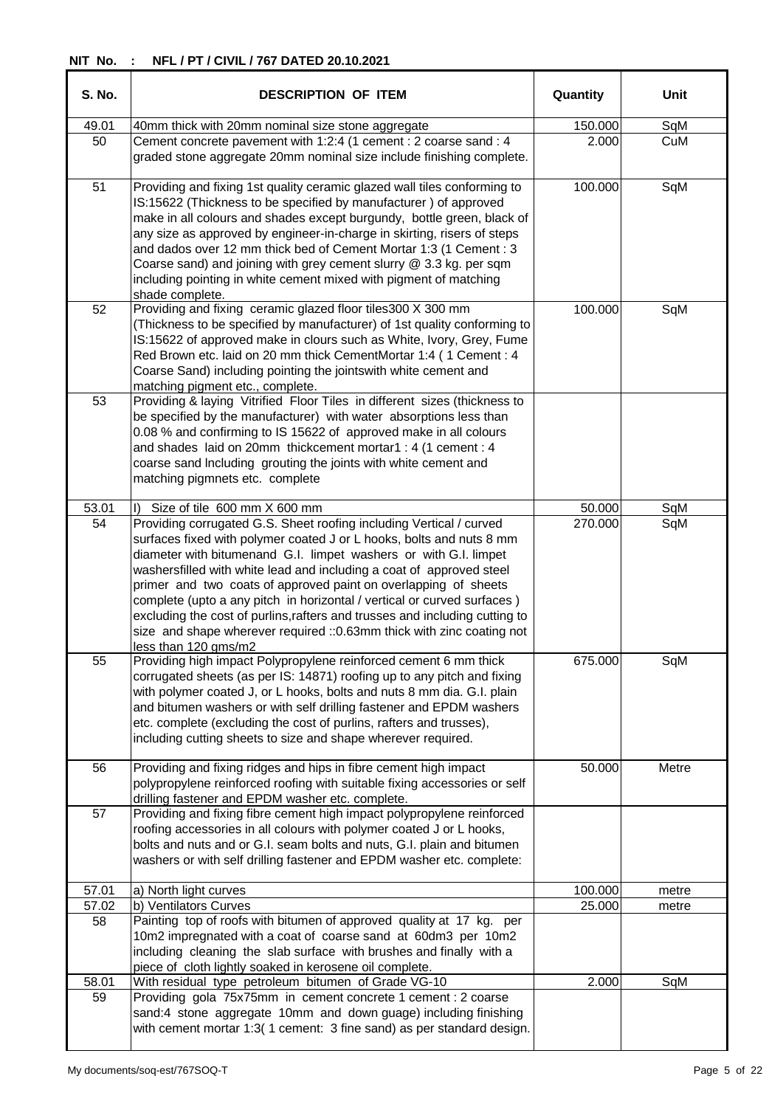| <b>S. No.</b> | <b>DESCRIPTION OF ITEM</b>                                                                                                                                                                                                                                                                                                                                                                                                                                                                                                                                                                                             | Quantity | Unit  |
|---------------|------------------------------------------------------------------------------------------------------------------------------------------------------------------------------------------------------------------------------------------------------------------------------------------------------------------------------------------------------------------------------------------------------------------------------------------------------------------------------------------------------------------------------------------------------------------------------------------------------------------------|----------|-------|
| 49.01         | 40mm thick with 20mm nominal size stone aggregate                                                                                                                                                                                                                                                                                                                                                                                                                                                                                                                                                                      | 150.000  | SqM   |
| 50            | Cement concrete pavement with 1:2:4 (1 cement : 2 coarse sand : 4<br>graded stone aggregate 20mm nominal size include finishing complete.                                                                                                                                                                                                                                                                                                                                                                                                                                                                              | 2.000    | CuM   |
| 51            | Providing and fixing 1st quality ceramic glazed wall tiles conforming to<br>IS:15622 (Thickness to be specified by manufacturer) of approved<br>make in all colours and shades except burgundy, bottle green, black of<br>any size as approved by engineer-in-charge in skirting, risers of steps<br>and dados over 12 mm thick bed of Cement Mortar 1:3 (1 Cement : 3<br>Coarse sand) and joining with grey cement slurry @ 3.3 kg. per sqm<br>including pointing in white cement mixed with pigment of matching<br>shade complete.                                                                                   | 100.000  | SqM   |
| 52            | Providing and fixing ceramic glazed floor tiles 300 X 300 mm<br>(Thickness to be specified by manufacturer) of 1st quality conforming to<br>IS:15622 of approved make in clours such as White, Ivory, Grey, Fume<br>Red Brown etc. laid on 20 mm thick CementMortar 1:4 (1 Cement : 4<br>Coarse Sand) including pointing the jointswith white cement and<br>matching pigment etc., complete.                                                                                                                                                                                                                           | 100.000  | SqM   |
| 53            | Providing & laying Vitrified Floor Tiles in different sizes (thickness to<br>be specified by the manufacturer) with water absorptions less than<br>0.08 % and confirming to IS 15622 of approved make in all colours<br>and shades laid on 20mm thickcement mortar1 : 4 (1 cement : 4<br>coarse sand Including grouting the joints with white cement and<br>matching pigmnets etc. complete                                                                                                                                                                                                                            |          |       |
| 53.01         | Size of tile 600 mm X 600 mm<br>D.                                                                                                                                                                                                                                                                                                                                                                                                                                                                                                                                                                                     | 50.000   | SqM   |
| 54            | Providing corrugated G.S. Sheet roofing including Vertical / curved<br>surfaces fixed with polymer coated J or L hooks, bolts and nuts 8 mm<br>diameter with bitumenand G.I. limpet washers or with G.I. limpet<br>washersfilled with white lead and including a coat of approved steel<br>primer and two coats of approved paint on overlapping of sheets<br>complete (upto a any pitch in horizontal / vertical or curved surfaces)<br>excluding the cost of purlins, rafters and trusses and including cutting to<br>size and shape wherever required :: 0.63mm thick with zinc coating not<br>less than 120 gms/m2 | 270.000  | SqM   |
| 55            | Providing high impact Polypropylene reinforced cement 6 mm thick<br>corrugated sheets (as per IS: 14871) roofing up to any pitch and fixing<br>with polymer coated J, or L hooks, bolts and nuts 8 mm dia. G.I. plain<br>and bitumen washers or with self drilling fastener and EPDM washers<br>etc. complete (excluding the cost of purlins, rafters and trusses),<br>including cutting sheets to size and shape wherever required.                                                                                                                                                                                   | 675.000  | SqM   |
| 56            | Providing and fixing ridges and hips in fibre cement high impact<br>polypropylene reinforced roofing with suitable fixing accessories or self<br>drilling fastener and EPDM washer etc. complete.                                                                                                                                                                                                                                                                                                                                                                                                                      | 50.000   | Metre |
| 57            | Providing and fixing fibre cement high impact polypropylene reinforced<br>roofing accessories in all colours with polymer coated J or L hooks,<br>bolts and nuts and or G.I. seam bolts and nuts, G.I. plain and bitumen<br>washers or with self drilling fastener and EPDM washer etc. complete:                                                                                                                                                                                                                                                                                                                      |          |       |
| 57.01         | a) North light curves                                                                                                                                                                                                                                                                                                                                                                                                                                                                                                                                                                                                  | 100.000  | metre |
| 57.02<br>58   | b) Ventilators Curves<br>Painting top of roofs with bitumen of approved quality at 17 kg. per<br>10m2 impregnated with a coat of coarse sand at 60dm3 per 10m2<br>including cleaning the slab surface with brushes and finally with a<br>piece of cloth lightly soaked in kerosene oil complete.                                                                                                                                                                                                                                                                                                                       | 25.000   | metre |
| 58.01         | With residual type petroleum bitumen of Grade VG-10                                                                                                                                                                                                                                                                                                                                                                                                                                                                                                                                                                    | 2.000    | SqM   |
| 59            | Providing gola 75x75mm in cement concrete 1 cement : 2 coarse<br>sand:4 stone aggregate 10mm and down guage) including finishing<br>with cement mortar 1:3(1 cement: 3 fine sand) as per standard design.                                                                                                                                                                                                                                                                                                                                                                                                              |          |       |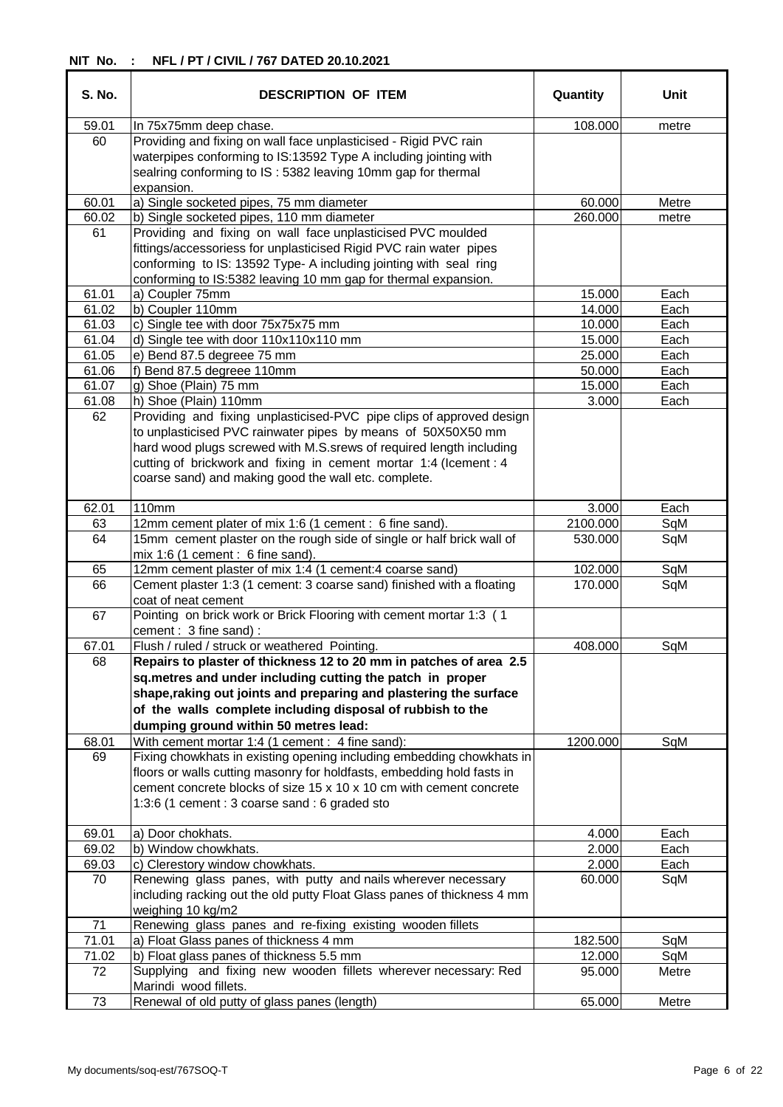| <b>S. No.</b> | <b>DESCRIPTION OF ITEM</b>                                                                                                                                                                                                                                               | Quantity         | Unit         |
|---------------|--------------------------------------------------------------------------------------------------------------------------------------------------------------------------------------------------------------------------------------------------------------------------|------------------|--------------|
| 59.01         | In 75x75mm deep chase.                                                                                                                                                                                                                                                   | 108.000          | metre        |
| 60            | Providing and fixing on wall face unplasticised - Rigid PVC rain<br>waterpipes conforming to IS:13592 Type A including jointing with<br>sealring conforming to IS: 5382 leaving 10mm gap for thermal<br>expansion.                                                       |                  |              |
| 60.01         | a) Single socketed pipes, 75 mm diameter                                                                                                                                                                                                                                 | 60.000           | Metre        |
| 60.02         | b) Single socketed pipes, 110 mm diameter                                                                                                                                                                                                                                | 260.000          | metre        |
| 61            | Providing and fixing on wall face unplasticised PVC moulded<br>fittings/accessoriess for unplasticised Rigid PVC rain water pipes<br>conforming to IS: 13592 Type- A including jointing with seal ring<br>conforming to IS:5382 leaving 10 mm gap for thermal expansion. |                  |              |
| 61.01         | a) Coupler 75mm                                                                                                                                                                                                                                                          | 15.000           | Each         |
| 61.02         | b) Coupler 110mm                                                                                                                                                                                                                                                         | 14.000           | Each         |
| 61.03         | c) Single tee with door 75x75x75 mm                                                                                                                                                                                                                                      | 10.000           | Each         |
| 61.04         | d) Single tee with door 110x110x110 mm                                                                                                                                                                                                                                   | 15.000           | Each         |
| 61.05         | e) Bend 87.5 degreee 75 mm                                                                                                                                                                                                                                               | 25.000           | Each         |
| 61.06         | f) Bend 87.5 degreee 110mm                                                                                                                                                                                                                                               | 50.000           | Each         |
| 61.07         | g) Shoe (Plain) 75 mm                                                                                                                                                                                                                                                    | 15.000           | Each         |
| 61.08<br>62   | h) Shoe (Plain) 110mm<br>Providing and fixing unplasticised-PVC pipe clips of approved design<br>to unplasticised PVC rainwater pipes by means of 50X50X50 mm<br>hard wood plugs screwed with M.S.srews of required length including                                     | 3.000            | Each         |
|               | cutting of brickwork and fixing in cement mortar 1:4 (Icement : 4<br>coarse sand) and making good the wall etc. complete.                                                                                                                                                |                  |              |
| 62.01         | 110mm                                                                                                                                                                                                                                                                    | 3.000            | Each         |
| 63            | 12mm cement plater of mix 1:6 (1 cement : 6 fine sand).                                                                                                                                                                                                                  | 2100.000         | SqM          |
| 64            | 15mm cement plaster on the rough side of single or half brick wall of<br>mix $1:6$ (1 cement : 6 fine sand).                                                                                                                                                             | 530.000          | SqM          |
| 65            | 12mm cement plaster of mix 1:4 (1 cement:4 coarse sand)                                                                                                                                                                                                                  | 102.000          | SqM          |
| 66            | Cement plaster 1:3 (1 cement: 3 coarse sand) finished with a floating<br>coat of neat cement                                                                                                                                                                             | 170.000          | SqM          |
| 67            | Pointing on brick work or Brick Flooring with cement mortar 1:3 (1<br>cement: 3 fine sand):                                                                                                                                                                              |                  |              |
| 67.01         | Flush / ruled / struck or weathered Pointing.                                                                                                                                                                                                                            | 408.000          | SqM          |
| 68            | Repairs to plaster of thickness 12 to 20 mm in patches of area 2.5                                                                                                                                                                                                       |                  |              |
|               | sq.metres and under including cutting the patch in proper                                                                                                                                                                                                                |                  |              |
|               | shape, raking out joints and preparing and plastering the surface<br>of the walls complete including disposal of rubbish to the<br>dumping ground within 50 metres lead:                                                                                                 |                  |              |
| 68.01         | With cement mortar 1:4 (1 cement : 4 fine sand):                                                                                                                                                                                                                         | 1200.000         | SqM          |
| 69            | Fixing chowkhats in existing opening including embedding chowkhats in<br>floors or walls cutting masonry for holdfasts, embedding hold fasts in<br>cement concrete blocks of size 15 x 10 x 10 cm with cement concrete<br>1:3:6 (1 cement : 3 coarse sand : 6 graded sto |                  |              |
| 69.01         | a) Door chokhats.                                                                                                                                                                                                                                                        | 4.000            | Each         |
| 69.02         | b) Window chowkhats.                                                                                                                                                                                                                                                     | 2.000            | Each         |
| 69.03         | c) Clerestory window chowkhats.                                                                                                                                                                                                                                          | 2.000            | Each         |
| 70            | Renewing glass panes, with putty and nails wherever necessary<br>including racking out the old putty Float Glass panes of thickness 4 mm<br>weighing 10 kg/m2                                                                                                            | 60.000           | SqM          |
| 71            | Renewing glass panes and re-fixing existing wooden fillets                                                                                                                                                                                                               |                  |              |
| 71.01         | a) Float Glass panes of thickness 4 mm                                                                                                                                                                                                                                   | 182.500          | SqM          |
| 71.02<br>72   | b) Float glass panes of thickness 5.5 mm<br>Supplying and fixing new wooden fillets wherever necessary: Red                                                                                                                                                              | 12.000<br>95.000 | SqM<br>Metre |
|               | Marindi wood fillets.                                                                                                                                                                                                                                                    |                  |              |
| 73            | Renewal of old putty of glass panes (length)                                                                                                                                                                                                                             | 65.000           | Metre        |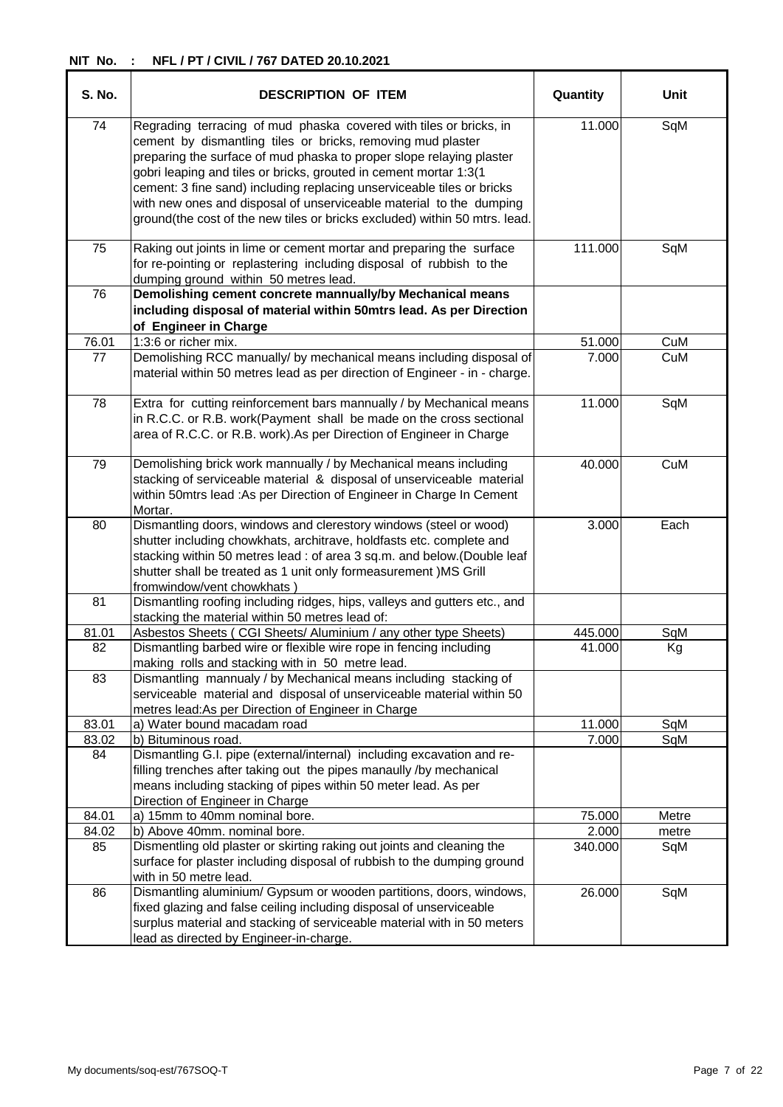| <b>S. No.</b> | <b>DESCRIPTION OF ITEM</b>                                                                                                                                                                                                                                                                                                                                                                                                                                                                                    | Quantity | Unit  |
|---------------|---------------------------------------------------------------------------------------------------------------------------------------------------------------------------------------------------------------------------------------------------------------------------------------------------------------------------------------------------------------------------------------------------------------------------------------------------------------------------------------------------------------|----------|-------|
| 74            | Regrading terracing of mud phaska covered with tiles or bricks, in<br>cement by dismantling tiles or bricks, removing mud plaster<br>preparing the surface of mud phaska to proper slope relaying plaster<br>gobri leaping and tiles or bricks, grouted in cement mortar 1:3(1<br>cement: 3 fine sand) including replacing unserviceable tiles or bricks<br>with new ones and disposal of unserviceable material to the dumping<br>ground(the cost of the new tiles or bricks excluded) within 50 mtrs. lead. | 11.000   | SqM   |
| 75            | Raking out joints in lime or cement mortar and preparing the surface<br>for re-pointing or replastering including disposal of rubbish to the<br>dumping ground within 50 metres lead.                                                                                                                                                                                                                                                                                                                         | 111.000  | SqM   |
| 76            | Demolishing cement concrete mannually/by Mechanical means<br>including disposal of material within 50mtrs lead. As per Direction<br>of Engineer in Charge                                                                                                                                                                                                                                                                                                                                                     |          |       |
| 76.01         | 1:3:6 or richer mix.                                                                                                                                                                                                                                                                                                                                                                                                                                                                                          | 51.000   | CuM   |
| 77            | Demolishing RCC manually/ by mechanical means including disposal of<br>material within 50 metres lead as per direction of Engineer - in - charge.                                                                                                                                                                                                                                                                                                                                                             | 7.000    | CuM   |
| 78            | Extra for cutting reinforcement bars mannually / by Mechanical means<br>in R.C.C. or R.B. work(Payment shall be made on the cross sectional<br>area of R.C.C. or R.B. work). As per Direction of Engineer in Charge                                                                                                                                                                                                                                                                                           | 11.000   | SqM   |
| 79            | Demolishing brick work mannually / by Mechanical means including<br>stacking of serviceable material & disposal of unserviceable material<br>within 50mtrs lead : As per Direction of Engineer in Charge In Cement<br>Mortar.                                                                                                                                                                                                                                                                                 | 40.000   | CuM   |
| 80            | Dismantling doors, windows and clerestory windows (steel or wood)<br>shutter including chowkhats, architrave, holdfasts etc. complete and<br>stacking within 50 metres lead : of area 3 sq.m. and below.(Double leaf<br>shutter shall be treated as 1 unit only formeasurement ) MS Grill<br>fromwindow/vent chowkhats)                                                                                                                                                                                       | 3.000    | Each  |
| 81            | Dismantling roofing including ridges, hips, valleys and gutters etc., and<br>stacking the material within 50 metres lead of:                                                                                                                                                                                                                                                                                                                                                                                  |          |       |
| 81.01         | Asbestos Sheets (CGI Sheets/ Aluminium / any other type Sheets)                                                                                                                                                                                                                                                                                                                                                                                                                                               | 445.000  | SqM   |
| 82            | Dismantling barbed wire or flexible wire rope in fencing including<br>making rolls and stacking with in 50 metre lead.                                                                                                                                                                                                                                                                                                                                                                                        | 41.000   | Kg    |
| 83            | Dismantling mannualy / by Mechanical means including stacking of<br>serviceable material and disposal of unserviceable material within 50<br>metres lead: As per Direction of Engineer in Charge                                                                                                                                                                                                                                                                                                              |          |       |
| 83.01         | a) Water bound macadam road                                                                                                                                                                                                                                                                                                                                                                                                                                                                                   | 11.000   | SqM   |
| 83.02         | b) Bituminous road.                                                                                                                                                                                                                                                                                                                                                                                                                                                                                           | 7.000    | SqM   |
| 84            | Dismantling G.I. pipe (external/internal) including excavation and re-<br>filling trenches after taking out the pipes manaully /by mechanical<br>means including stacking of pipes within 50 meter lead. As per<br>Direction of Engineer in Charge                                                                                                                                                                                                                                                            |          |       |
| 84.01         | a) 15mm to 40mm nominal bore.                                                                                                                                                                                                                                                                                                                                                                                                                                                                                 | 75.000   | Metre |
| 84.02         | b) Above 40mm. nominal bore.                                                                                                                                                                                                                                                                                                                                                                                                                                                                                  | 2.000    | metre |
| 85            | Dismentling old plaster or skirting raking out joints and cleaning the<br>surface for plaster including disposal of rubbish to the dumping ground<br>with in 50 metre lead.                                                                                                                                                                                                                                                                                                                                   | 340.000  | SqM   |
| 86            | Dismantling aluminium/ Gypsum or wooden partitions, doors, windows,<br>fixed glazing and false ceiling including disposal of unserviceable<br>surplus material and stacking of serviceable material with in 50 meters<br>lead as directed by Engineer-in-charge.                                                                                                                                                                                                                                              | 26.000   | SqM   |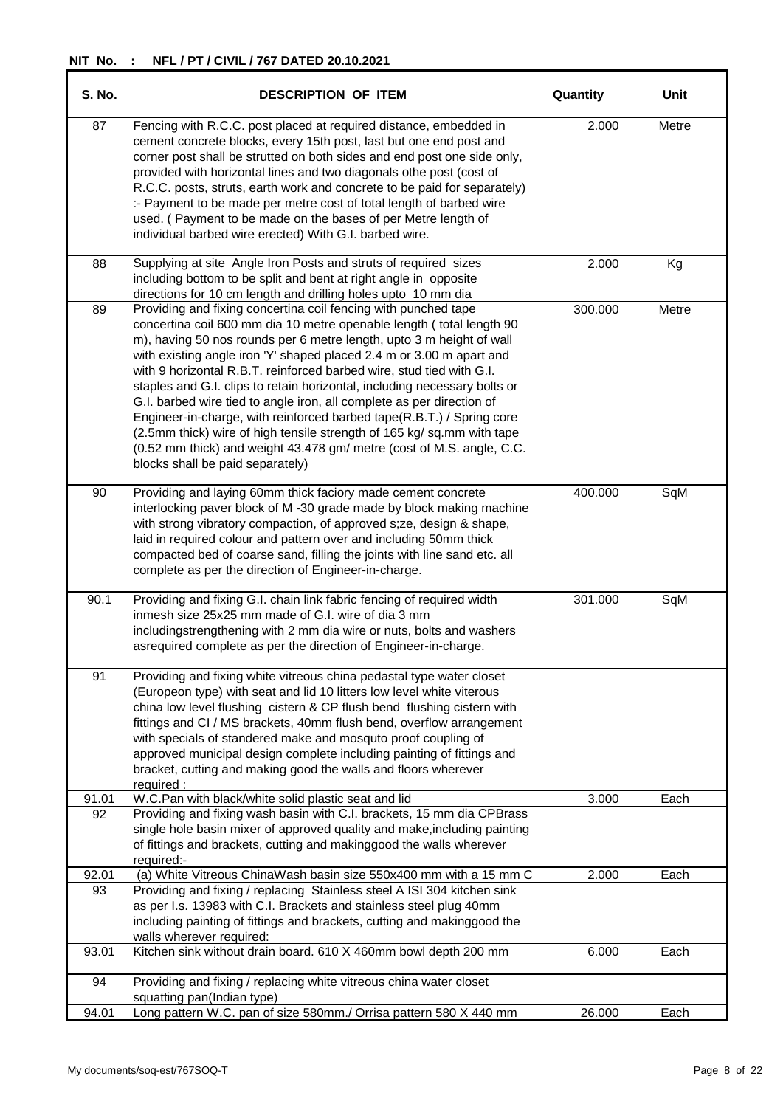| S. No.      | <b>DESCRIPTION OF ITEM</b>                                                                                                                                                                                                                                                                                                                                                                                                                                                                                                                                                                                                                                                                                                                                                           | Quantity | Unit  |
|-------------|--------------------------------------------------------------------------------------------------------------------------------------------------------------------------------------------------------------------------------------------------------------------------------------------------------------------------------------------------------------------------------------------------------------------------------------------------------------------------------------------------------------------------------------------------------------------------------------------------------------------------------------------------------------------------------------------------------------------------------------------------------------------------------------|----------|-------|
| 87          | Fencing with R.C.C. post placed at required distance, embedded in<br>cement concrete blocks, every 15th post, last but one end post and<br>corner post shall be strutted on both sides and end post one side only,<br>provided with horizontal lines and two diagonals othe post (cost of<br>R.C.C. posts, struts, earth work and concrete to be paid for separately)<br>:- Payment to be made per metre cost of total length of barbed wire<br>used. (Payment to be made on the bases of per Metre length of<br>individual barbed wire erected) With G.I. barbed wire.                                                                                                                                                                                                              | 2.000    | Metre |
| 88          | Supplying at site Angle Iron Posts and struts of required sizes<br>including bottom to be split and bent at right angle in opposite<br>directions for 10 cm length and drilling holes upto 10 mm dia                                                                                                                                                                                                                                                                                                                                                                                                                                                                                                                                                                                 | 2.000    | Kg    |
| 89          | Providing and fixing concertina coil fencing with punched tape<br>concertina coil 600 mm dia 10 metre openable length (total length 90<br>m), having 50 nos rounds per 6 metre length, upto 3 m height of wall<br>with existing angle iron 'Y' shaped placed 2.4 m or 3.00 m apart and<br>with 9 horizontal R.B.T. reinforced barbed wire, stud tied with G.I.<br>staples and G.I. clips to retain horizontal, including necessary bolts or<br>G.I. barbed wire tied to angle iron, all complete as per direction of<br>Engineer-in-charge, with reinforced barbed tape(R.B.T.) / Spring core<br>(2.5mm thick) wire of high tensile strength of 165 kg/ sq.mm with tape<br>(0.52 mm thick) and weight 43.478 gm/ metre (cost of M.S. angle, C.C.<br>blocks shall be paid separately) | 300.000  | Metre |
| 90          | Providing and laying 60mm thick faciory made cement concrete<br>interlocking paver block of M-30 grade made by block making machine<br>with strong vibratory compaction, of approved s; ze, design & shape,<br>laid in required colour and pattern over and including 50mm thick<br>compacted bed of coarse sand, filling the joints with line sand etc. all<br>complete as per the direction of Engineer-in-charge.                                                                                                                                                                                                                                                                                                                                                                 | 400.000  | SqM   |
| 90.1        | Providing and fixing G.I. chain link fabric fencing of required width<br>inmesh size 25x25 mm made of G.I. wire of dia 3 mm<br>includingstrengthening with 2 mm dia wire or nuts, bolts and washers<br>asrequired complete as per the direction of Engineer-in-charge.                                                                                                                                                                                                                                                                                                                                                                                                                                                                                                               | 301.000  | SqM   |
| 91          | Providing and fixing white vitreous china pedastal type water closet<br>(Europeon type) with seat and lid 10 litters low level white viterous<br>china low level flushing cistern & CP flush bend flushing cistern with<br>fittings and CI / MS brackets, 40mm flush bend, overflow arrangement<br>with specials of standered make and mosquto proof coupling of<br>approved municipal design complete including painting of fittings and<br>bracket, cutting and making good the walls and floors wherever<br>required:                                                                                                                                                                                                                                                             |          |       |
| 91.01       | W.C.Pan with black/white solid plastic seat and lid                                                                                                                                                                                                                                                                                                                                                                                                                                                                                                                                                                                                                                                                                                                                  | 3.000    | Each  |
| 92          | Providing and fixing wash basin with C.I. brackets, 15 mm dia CPBrass<br>single hole basin mixer of approved quality and make, including painting<br>of fittings and brackets, cutting and makinggood the walls wherever<br>required:-                                                                                                                                                                                                                                                                                                                                                                                                                                                                                                                                               |          |       |
| 92.01<br>93 | (a) White Vitreous ChinaWash basin size 550x400 mm with a 15 mm C<br>Providing and fixing / replacing Stainless steel A ISI 304 kitchen sink<br>as per I.s. 13983 with C.I. Brackets and stainless steel plug 40mm<br>including painting of fittings and brackets, cutting and makinggood the<br>walls wherever required:                                                                                                                                                                                                                                                                                                                                                                                                                                                            | 2.000    | Each  |
| 93.01       | Kitchen sink without drain board. 610 X 460mm bowl depth 200 mm                                                                                                                                                                                                                                                                                                                                                                                                                                                                                                                                                                                                                                                                                                                      | 6.000    | Each  |
| 94          | Providing and fixing / replacing white vitreous china water closet<br>squatting pan(Indian type)                                                                                                                                                                                                                                                                                                                                                                                                                                                                                                                                                                                                                                                                                     |          |       |
| 94.01       | Long pattern W.C. pan of size 580mm./ Orrisa pattern 580 X 440 mm                                                                                                                                                                                                                                                                                                                                                                                                                                                                                                                                                                                                                                                                                                                    | 26.000   | Each  |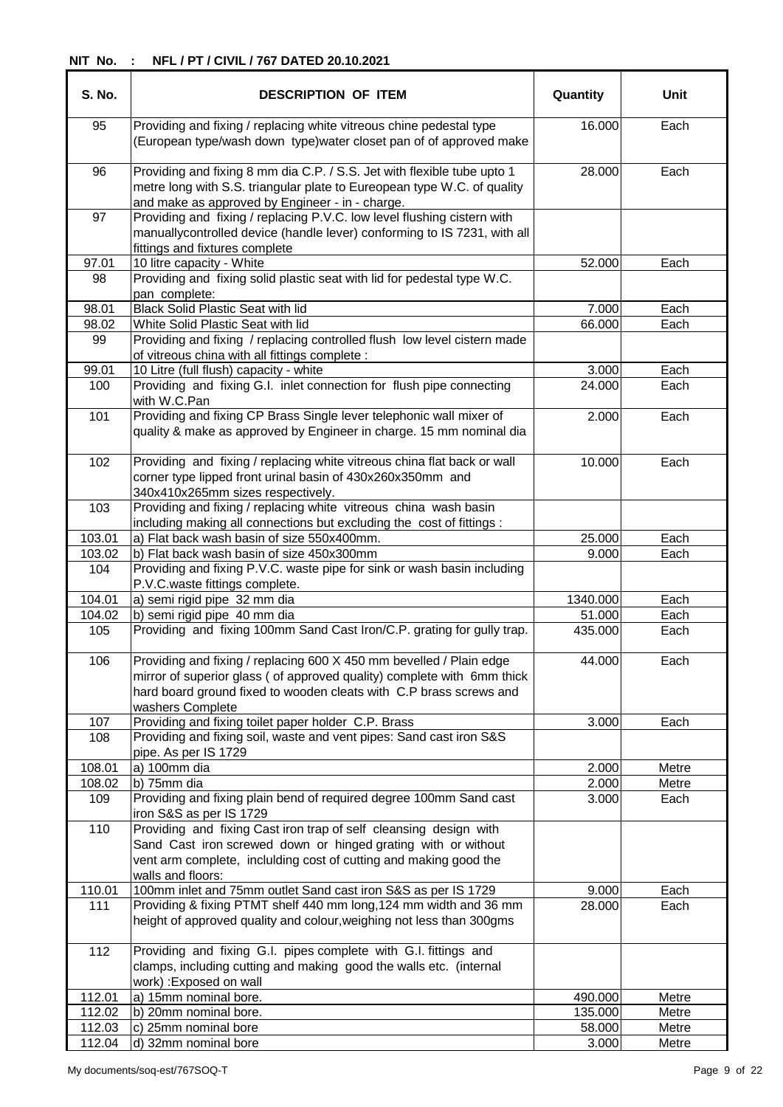| S. No. | <b>DESCRIPTION OF ITEM</b>                                                                                                                                                                                                              | Quantity | <b>Unit</b> |
|--------|-----------------------------------------------------------------------------------------------------------------------------------------------------------------------------------------------------------------------------------------|----------|-------------|
| 95     | Providing and fixing / replacing white vitreous chine pedestal type<br>(European type/wash down type)water closet pan of of approved make                                                                                               | 16.000   | Each        |
| 96     | Providing and fixing 8 mm dia C.P. / S.S. Jet with flexible tube upto 1<br>metre long with S.S. triangular plate to Eureopean type W.C. of quality<br>and make as approved by Engineer - in - charge.                                   | 28.000   | Each        |
| 97     | Providing and fixing / replacing P.V.C. low level flushing cistern with<br>manuallycontrolled device (handle lever) conforming to IS 7231, with all<br>fittings and fixtures complete                                                   |          |             |
| 97.01  | 10 litre capacity - White                                                                                                                                                                                                               | 52.000   | Each        |
| 98     | Providing and fixing solid plastic seat with lid for pedestal type W.C.<br>pan complete:                                                                                                                                                |          |             |
| 98.01  | <b>Black Solid Plastic Seat with lid</b>                                                                                                                                                                                                | 7.000    | Each        |
| 98.02  | White Solid Plastic Seat with lid                                                                                                                                                                                                       | 66.000   | Each        |
| 99     | Providing and fixing / replacing controlled flush low level cistern made<br>of vitreous china with all fittings complete :                                                                                                              |          |             |
| 99.01  | 10 Litre (full flush) capacity - white                                                                                                                                                                                                  | 3.000    | Each        |
| 100    | Providing and fixing G.I. inlet connection for flush pipe connecting<br>with W.C.Pan                                                                                                                                                    | 24.000   | Each        |
| 101    | Providing and fixing CP Brass Single lever telephonic wall mixer of<br>quality & make as approved by Engineer in charge. 15 mm nominal dia                                                                                              | 2.000    | Each        |
| 102    | Providing and fixing / replacing white vitreous china flat back or wall<br>corner type lipped front urinal basin of 430x260x350mm and<br>340x410x265mm sizes respectively.                                                              | 10.000   | Each        |
| 103    | Providing and fixing / replacing white vitreous china wash basin<br>including making all connections but excluding the cost of fittings :                                                                                               |          |             |
| 103.01 | a) Flat back wash basin of size 550x400mm.                                                                                                                                                                                              | 25.000   | Each        |
| 103.02 | b) Flat back wash basin of size 450x300mm                                                                                                                                                                                               | 9.000    | Each        |
| 104    | Providing and fixing P.V.C. waste pipe for sink or wash basin including<br>P.V.C.waste fittings complete.                                                                                                                               |          |             |
| 104.01 | a) semi rigid pipe 32 mm dia                                                                                                                                                                                                            | 1340.000 | Each        |
| 104.02 | b) semi rigid pipe 40 mm dia                                                                                                                                                                                                            | 51.000   | Each        |
| 105    | Providing and fixing 100mm Sand Cast Iron/C.P. grating for gully trap.                                                                                                                                                                  | 435.000  | Each        |
| 106    | Providing and fixing / replacing 600 X 450 mm bevelled / Plain edge<br>mirror of superior glass (of approved quality) complete with 6mm thick<br>hard board ground fixed to wooden cleats with C.P brass screws and<br>washers Complete | 44.000   | Each        |
| 107    | Providing and fixing toilet paper holder C.P. Brass                                                                                                                                                                                     | 3.000    | Each        |
| 108    | Providing and fixing soil, waste and vent pipes: Sand cast iron S&S<br>pipe. As per IS 1729                                                                                                                                             |          |             |
| 108.01 | a) 100mm dia                                                                                                                                                                                                                            | 2.000    | Metre       |
| 108.02 | b) 75mm dia                                                                                                                                                                                                                             | 2.000    | Metre       |
| 109    | Providing and fixing plain bend of required degree 100mm Sand cast<br>iron S&S as per IS 1729                                                                                                                                           | 3.000    | Each        |
| 110    | Providing and fixing Cast iron trap of self cleansing design with<br>Sand Cast iron screwed down or hinged grating with or without<br>vent arm complete, inclulding cost of cutting and making good the<br>walls and floors:            |          |             |
| 110.01 | 100mm inlet and 75mm outlet Sand cast iron S&S as per IS 1729                                                                                                                                                                           | 9.000    | Each        |
| 111    | Providing & fixing PTMT shelf 440 mm long, 124 mm width and 36 mm<br>height of approved quality and colour, weighing not less than 300gms                                                                                               | 28.000   | Each        |
| 112    | Providing and fixing G.I. pipes complete with G.I. fittings and<br>clamps, including cutting and making good the walls etc. (internal<br>work) : Exposed on wall                                                                        |          |             |
| 112.01 | a) 15mm nominal bore.                                                                                                                                                                                                                   | 490.000  | Metre       |
| 112.02 | b) 20mm nominal bore.                                                                                                                                                                                                                   | 135.000  | Metre       |
| 112.03 | c) 25mm nominal bore                                                                                                                                                                                                                    | 58.000   | Metre       |
| 112.04 | d) 32mm nominal bore                                                                                                                                                                                                                    | 3.000    | Metre       |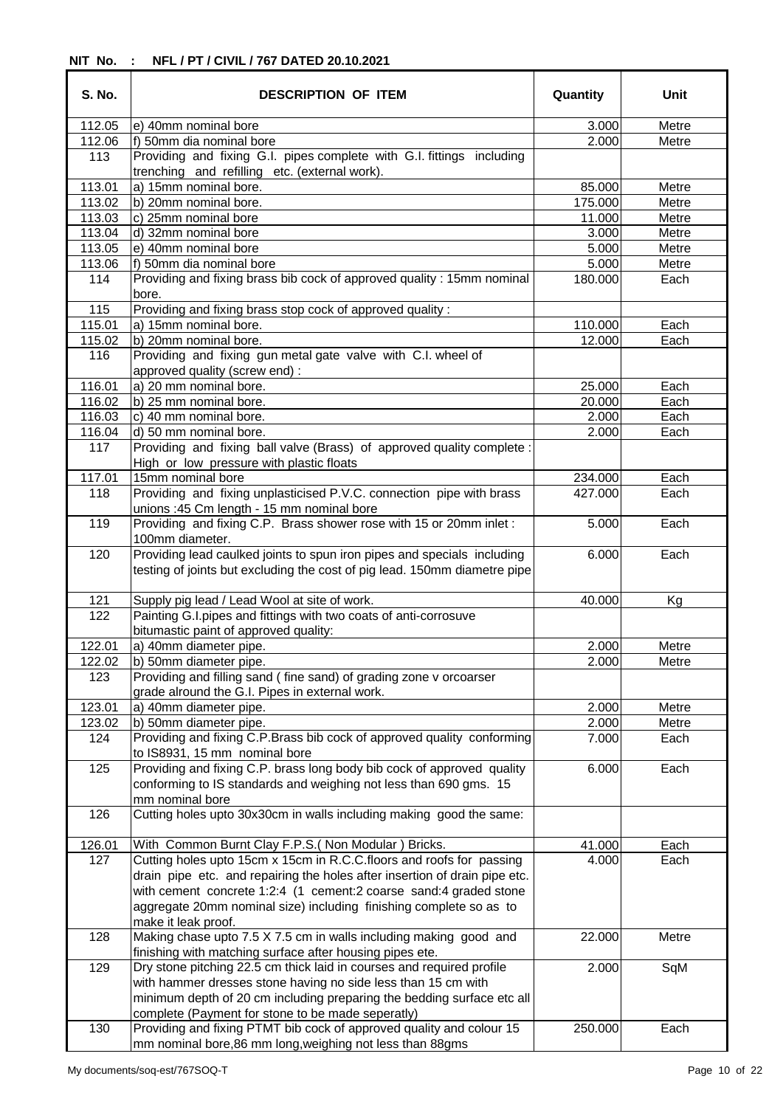| <b>S. No.</b> | <b>DESCRIPTION OF ITEM</b>                                                                                                                           | Quantity | Unit  |
|---------------|------------------------------------------------------------------------------------------------------------------------------------------------------|----------|-------|
| 112.05        | e) 40mm nominal bore                                                                                                                                 | 3.000    | Metre |
| 112.06        | f) 50mm dia nominal bore                                                                                                                             | 2.000    | Metre |
| 113           | Providing and fixing G.I. pipes complete with G.I. fittings including<br>trenching and refilling etc. (external work).                               |          |       |
| 113.01        | a) 15mm nominal bore.                                                                                                                                | 85.000   | Metre |
| 113.02        | b) 20mm nominal bore.                                                                                                                                | 175.000  | Metre |
| 113.03        | c) 25mm nominal bore                                                                                                                                 | 11.000   | Metre |
| 113.04        | d) 32mm nominal bore                                                                                                                                 | 3.000    | Metre |
| 113.05        | e) 40mm nominal bore                                                                                                                                 | 5.000    | Metre |
| 113.06        | f) 50mm dia nominal bore                                                                                                                             | 5.000    | Metre |
| 114           | Providing and fixing brass bib cock of approved quality: 15mm nominal                                                                                | 180.000  | Each  |
|               | bore.                                                                                                                                                |          |       |
| 115           | Providing and fixing brass stop cock of approved quality :                                                                                           |          |       |
| 115.01        | a) 15mm nominal bore.                                                                                                                                | 110.000  | Each  |
| 115.02        | b) 20mm nominal bore.                                                                                                                                | 12.000   | Each  |
| 116           | Providing and fixing gun metal gate valve with C.I. wheel of<br>approved quality (screw end) :                                                       |          |       |
| 116.01        | a) 20 mm nominal bore.                                                                                                                               | 25.000   | Each  |
| 116.02        | b) 25 mm nominal bore.                                                                                                                               | 20.000   | Each  |
| 116.03        | c) 40 mm nominal bore.                                                                                                                               | 2.000    | Each  |
| 116.04        | d) 50 mm nominal bore.                                                                                                                               | 2.000    | Each  |
| 117           | Providing and fixing ball valve (Brass) of approved quality complete :<br>High or low pressure with plastic floats                                   |          |       |
| 117.01        | 15mm nominal bore                                                                                                                                    | 234.000  | Each  |
| 118           | Providing and fixing unplasticised P.V.C. connection pipe with brass                                                                                 | 427.000  | Each  |
| 119           | unions : 45 Cm length - 15 mm nominal bore<br>Providing and fixing C.P. Brass shower rose with 15 or 20mm inlet:                                     | 5.000    | Each  |
|               | 100mm diameter.                                                                                                                                      |          |       |
| 120           | Providing lead caulked joints to spun iron pipes and specials including<br>testing of joints but excluding the cost of pig lead. 150mm diametre pipe | 6.000    | Each  |
| 121           | Supply pig lead / Lead Wool at site of work.                                                                                                         | 40.000   | Kg    |
| 122           | Painting G.I.pipes and fittings with two coats of anti-corrosuve<br>bitumastic paint of approved quality:                                            |          |       |
| 122.01        | a) 40mm diameter pipe.                                                                                                                               | 2.000    | Metre |
| 122.02        | b) 50mm diameter pipe.                                                                                                                               | 2.000    |       |
|               | Providing and filling sand (fine sand) of grading zone v orcoarser                                                                                   |          | Metre |
| 123           | grade alround the G.I. Pipes in external work.                                                                                                       |          |       |
| 123.01        | a) 40mm diameter pipe.                                                                                                                               | 2.000    | Metre |
| 123.02        | b) 50mm diameter pipe.                                                                                                                               | 2.000    | Metre |
| 124           | Providing and fixing C.P.Brass bib cock of approved quality conforming<br>to IS8931, 15 mm nominal bore                                              | 7.000    | Each  |
| 125           | Providing and fixing C.P. brass long body bib cock of approved quality                                                                               | 6.000    | Each  |
|               | conforming to IS standards and weighing not less than 690 gms. 15<br>mm nominal bore                                                                 |          |       |
| 126           | Cutting holes upto 30x30cm in walls including making good the same:                                                                                  |          |       |
| 126.01        | With Common Burnt Clay F.P.S. (Non Modular) Bricks.                                                                                                  | 41.000   | Each  |
| 127           | Cutting holes upto 15cm x 15cm in R.C.C.floors and roofs for passing                                                                                 | 4.000    | Each  |
|               | drain pipe etc. and repairing the holes after insertion of drain pipe etc.<br>with cement concrete 1:2:4 (1 cement:2 coarse sand:4 graded stone      |          |       |
|               | aggregate 20mm nominal size) including finishing complete so as to<br>make it leak proof.                                                            |          |       |
| 128           | Making chase upto 7.5 X 7.5 cm in walls including making good and<br>finishing with matching surface after housing pipes ete.                        | 22.000   | Metre |
| 129           | Dry stone pitching 22.5 cm thick laid in courses and required profile                                                                                | 2.000    | SqM   |
|               | with hammer dresses stone having no side less than 15 cm with                                                                                        |          |       |
|               |                                                                                                                                                      |          |       |
|               | minimum depth of 20 cm including preparing the bedding surface etc all                                                                               |          |       |
| 130           | complete (Payment for stone to be made seperatly)<br>Providing and fixing PTMT bib cock of approved quality and colour 15                            | 250.000  | Each  |
|               | mm nominal bore, 86 mm long, weighing not less than 88gms                                                                                            |          |       |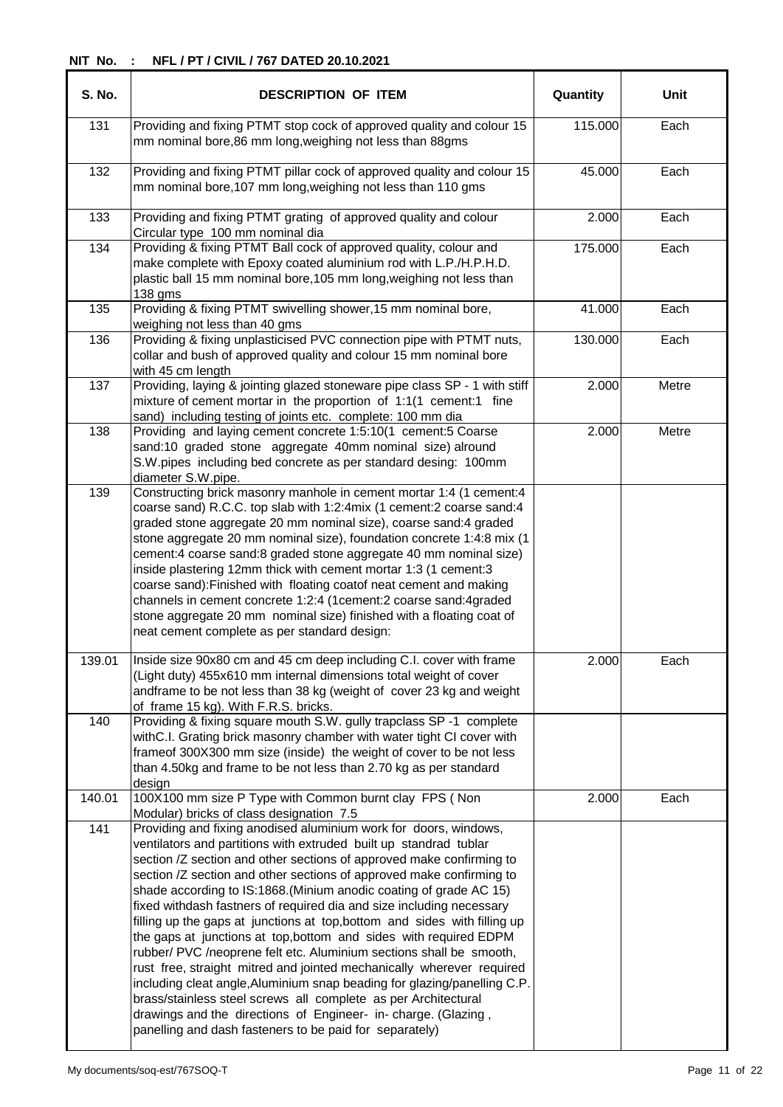| <b>S. No.</b> | <b>DESCRIPTION OF ITEM</b>                                                                                                                                                                                                                                                                                                                                                                                                                                                                                                                                                                                                                                                                                                                                                                                                                                                                                                                                                                                     | Quantity | Unit  |
|---------------|----------------------------------------------------------------------------------------------------------------------------------------------------------------------------------------------------------------------------------------------------------------------------------------------------------------------------------------------------------------------------------------------------------------------------------------------------------------------------------------------------------------------------------------------------------------------------------------------------------------------------------------------------------------------------------------------------------------------------------------------------------------------------------------------------------------------------------------------------------------------------------------------------------------------------------------------------------------------------------------------------------------|----------|-------|
| 131           | Providing and fixing PTMT stop cock of approved quality and colour 15<br>mm nominal bore, 86 mm long, weighing not less than 88gms                                                                                                                                                                                                                                                                                                                                                                                                                                                                                                                                                                                                                                                                                                                                                                                                                                                                             | 115.000  | Each  |
| 132           | Providing and fixing PTMT pillar cock of approved quality and colour 15<br>mm nominal bore, 107 mm long, weighing not less than 110 gms                                                                                                                                                                                                                                                                                                                                                                                                                                                                                                                                                                                                                                                                                                                                                                                                                                                                        | 45.000   | Each  |
| 133           | Providing and fixing PTMT grating of approved quality and colour<br>Circular type 100 mm nominal dia                                                                                                                                                                                                                                                                                                                                                                                                                                                                                                                                                                                                                                                                                                                                                                                                                                                                                                           | 2.000    | Each  |
| 134           | Providing & fixing PTMT Ball cock of approved quality, colour and<br>make complete with Epoxy coated aluminium rod with L.P./H.P.H.D.<br>plastic ball 15 mm nominal bore, 105 mm long, weighing not less than<br>138 gms                                                                                                                                                                                                                                                                                                                                                                                                                                                                                                                                                                                                                                                                                                                                                                                       | 175.000  | Each  |
| 135           | Providing & fixing PTMT swivelling shower, 15 mm nominal bore,<br>weighing not less than 40 gms                                                                                                                                                                                                                                                                                                                                                                                                                                                                                                                                                                                                                                                                                                                                                                                                                                                                                                                | 41.000   | Each  |
| 136           | Providing & fixing unplasticised PVC connection pipe with PTMT nuts,<br>collar and bush of approved quality and colour 15 mm nominal bore<br>with 45 cm length                                                                                                                                                                                                                                                                                                                                                                                                                                                                                                                                                                                                                                                                                                                                                                                                                                                 | 130.000  | Each  |
| 137           | Providing, laying & jointing glazed stoneware pipe class SP - 1 with stiff<br>mixture of cement mortar in the proportion of 1:1(1 cement:1 fine<br>sand) including testing of joints etc. complete: 100 mm dia                                                                                                                                                                                                                                                                                                                                                                                                                                                                                                                                                                                                                                                                                                                                                                                                 | 2.000    | Metre |
| 138           | Providing and laying cement concrete 1:5:10(1 cement:5 Coarse<br>sand:10 graded stone aggregate 40mm nominal size) alround<br>S.W.pipes including bed concrete as per standard desing: 100mm<br>diameter S.W.pipe.                                                                                                                                                                                                                                                                                                                                                                                                                                                                                                                                                                                                                                                                                                                                                                                             | 2.000    | Metre |
| 139           | Constructing brick masonry manhole in cement mortar 1:4 (1 cement:4<br>coarse sand) R.C.C. top slab with 1:2:4mix (1 cement:2 coarse sand:4<br>graded stone aggregate 20 mm nominal size), coarse sand:4 graded<br>stone aggregate 20 mm nominal size), foundation concrete 1:4:8 mix (1<br>cement:4 coarse sand:8 graded stone aggregate 40 mm nominal size)<br>inside plastering 12mm thick with cement mortar 1:3 (1 cement:3<br>coarse sand): Finished with floating coatof neat cement and making<br>channels in cement concrete 1:2:4 (1cement:2 coarse sand:4graded<br>stone aggregate 20 mm nominal size) finished with a floating coat of<br>neat cement complete as per standard design:                                                                                                                                                                                                                                                                                                             |          |       |
| 139.01<br>140 | Inside size 90x80 cm and 45 cm deep including C.I. cover with frame<br>(Light duty) 455x610 mm internal dimensions total weight of cover<br>andframe to be not less than 38 kg (weight of cover 23 kg and weight<br>of frame 15 kg). With F.R.S. bricks.<br>Providing & fixing square mouth S.W. gully trapclass SP-1 complete<br>with C.I. Grating brick masonry chamber with water tight CI cover with<br>frameof 300X300 mm size (inside) the weight of cover to be not less<br>than 4.50kg and frame to be not less than 2.70 kg as per standard                                                                                                                                                                                                                                                                                                                                                                                                                                                           | 2.000    | Each  |
| 140.01        | design<br>100X100 mm size P Type with Common burnt clay FPS ( Non<br>Modular) bricks of class designation 7.5                                                                                                                                                                                                                                                                                                                                                                                                                                                                                                                                                                                                                                                                                                                                                                                                                                                                                                  | 2.000    | Each  |
| 141           | Providing and fixing anodised aluminium work for doors, windows,<br>ventilators and partitions with extruded built up standrad tublar<br>section /Z section and other sections of approved make confirming to<br>section /Z section and other sections of approved make confirming to<br>shade according to IS:1868.(Minium anodic coating of grade AC 15)<br>fixed withdash fastners of required dia and size including necessary<br>filling up the gaps at junctions at top, bottom and sides with filling up<br>the gaps at junctions at top, bottom and sides with required EDPM<br>rubber/ PVC /neoprene felt etc. Aluminium sections shall be smooth,<br>rust free, straight mitred and jointed mechanically wherever required<br>including cleat angle, Aluminium snap beading for glazing/panelling C.P.<br>brass/stainless steel screws all complete as per Architectural<br>drawings and the directions of Engineer- in-charge. (Glazing,<br>panelling and dash fasteners to be paid for separately) |          |       |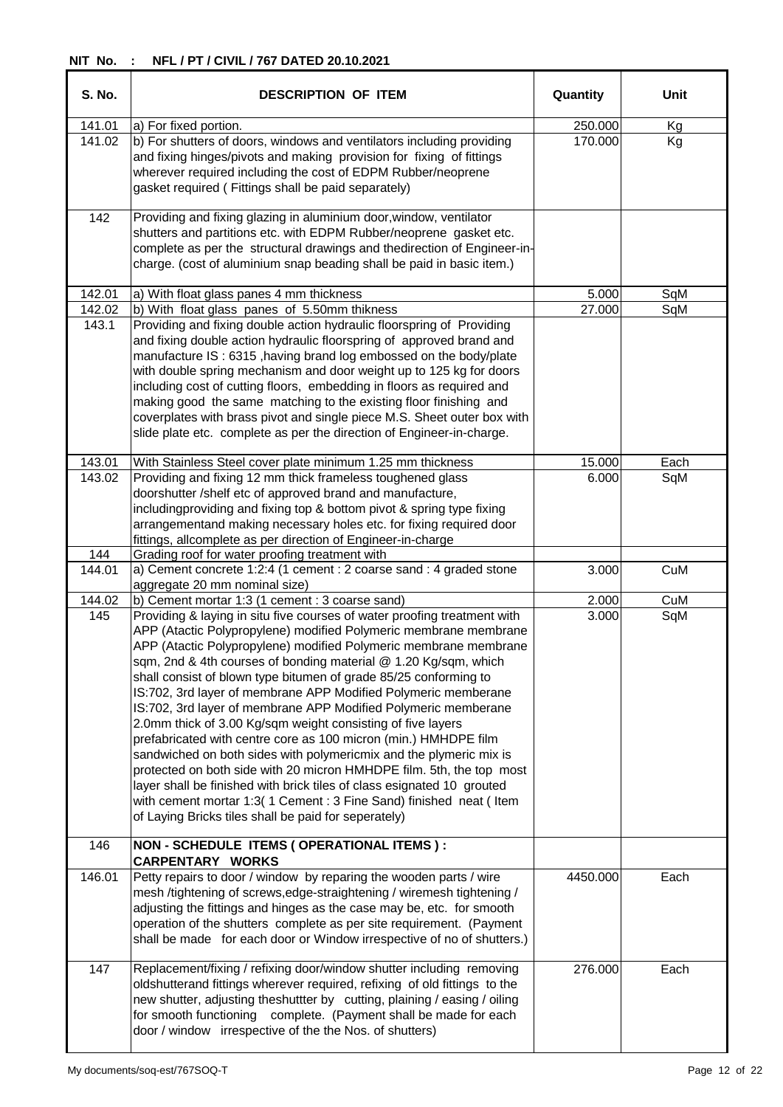| <b>S. No.</b> | <b>DESCRIPTION OF ITEM</b>                                                                                                                                                                                                                                                                                                                                                                                                                                                                                                                                                                                                                                                                                                                                                                                                                                                                                                                                                            | Quantity | Unit |
|---------------|---------------------------------------------------------------------------------------------------------------------------------------------------------------------------------------------------------------------------------------------------------------------------------------------------------------------------------------------------------------------------------------------------------------------------------------------------------------------------------------------------------------------------------------------------------------------------------------------------------------------------------------------------------------------------------------------------------------------------------------------------------------------------------------------------------------------------------------------------------------------------------------------------------------------------------------------------------------------------------------|----------|------|
| 141.01        | a) For fixed portion.                                                                                                                                                                                                                                                                                                                                                                                                                                                                                                                                                                                                                                                                                                                                                                                                                                                                                                                                                                 | 250.000  | Kg   |
| 141.02        | b) For shutters of doors, windows and ventilators including providing<br>and fixing hinges/pivots and making provision for fixing of fittings<br>wherever required including the cost of EDPM Rubber/neoprene<br>gasket required (Fittings shall be paid separately)                                                                                                                                                                                                                                                                                                                                                                                                                                                                                                                                                                                                                                                                                                                  | 170.000  | Kg   |
| 142           | Providing and fixing glazing in aluminium door, window, ventilator<br>shutters and partitions etc. with EDPM Rubber/neoprene gasket etc.<br>complete as per the structural drawings and thedirection of Engineer-in-<br>charge. (cost of aluminium snap beading shall be paid in basic item.)                                                                                                                                                                                                                                                                                                                                                                                                                                                                                                                                                                                                                                                                                         |          |      |
| 142.01        | a) With float glass panes 4 mm thickness                                                                                                                                                                                                                                                                                                                                                                                                                                                                                                                                                                                                                                                                                                                                                                                                                                                                                                                                              | 5.000    | SqM  |
| 142.02        | b) With float glass panes of 5.50mm thikness                                                                                                                                                                                                                                                                                                                                                                                                                                                                                                                                                                                                                                                                                                                                                                                                                                                                                                                                          | 27.000   | SqM  |
| 143.1         | Providing and fixing double action hydraulic floorspring of Providing<br>and fixing double action hydraulic floorspring of approved brand and<br>manufacture IS: 6315, having brand log embossed on the body/plate<br>with double spring mechanism and door weight up to 125 kg for doors<br>including cost of cutting floors, embedding in floors as required and<br>making good the same matching to the existing floor finishing and<br>coverplates with brass pivot and single piece M.S. Sheet outer box with<br>slide plate etc. complete as per the direction of Engineer-in-charge.                                                                                                                                                                                                                                                                                                                                                                                           |          |      |
| 143.01        | With Stainless Steel cover plate minimum 1.25 mm thickness                                                                                                                                                                                                                                                                                                                                                                                                                                                                                                                                                                                                                                                                                                                                                                                                                                                                                                                            | 15.000   | Each |
| 143.02        | Providing and fixing 12 mm thick frameless toughened glass<br>doorshutter /shelf etc of approved brand and manufacture,<br>includingproviding and fixing top & bottom pivot & spring type fixing<br>arrangementand making necessary holes etc. for fixing required door<br>fittings, allcomplete as per direction of Engineer-in-charge                                                                                                                                                                                                                                                                                                                                                                                                                                                                                                                                                                                                                                               | 6.000    | SqM  |
| 144           | Grading roof for water proofing treatment with                                                                                                                                                                                                                                                                                                                                                                                                                                                                                                                                                                                                                                                                                                                                                                                                                                                                                                                                        |          |      |
| 144.01        | a) Cement concrete 1:2:4 (1 cement : 2 coarse sand : 4 graded stone<br>aggregate 20 mm nominal size)                                                                                                                                                                                                                                                                                                                                                                                                                                                                                                                                                                                                                                                                                                                                                                                                                                                                                  | 3.000    | CuM  |
| 144.02        | b) Cement mortar 1:3 (1 cement : 3 coarse sand)                                                                                                                                                                                                                                                                                                                                                                                                                                                                                                                                                                                                                                                                                                                                                                                                                                                                                                                                       | 2.000    | CuM  |
| 145<br>146    | Providing & laying in situ five courses of water proofing treatment with<br>APP (Atactic Polypropylene) modified Polymeric membrane membrane<br>APP (Atactic Polypropylene) modified Polymeric membrane membrane<br>sqm, 2nd & 4th courses of bonding material @ 1.20 Kg/sqm, which<br>shall consist of blown type bitumen of grade 85/25 conforming to<br>IS:702, 3rd layer of membrane APP Modified Polymeric memberane<br>IS:702, 3rd layer of membrane APP Modified Polymeric memberane<br>2.0mm thick of 3.00 Kg/sqm weight consisting of five layers<br>prefabricated with centre core as 100 micron (min.) HMHDPE film<br>sandwiched on both sides with polymericmix and the plymeric mix is<br>protected on both side with 20 micron HMHDPE film. 5th, the top most<br>layer shall be finished with brick tiles of class esignated 10 grouted<br>with cement mortar 1:3( 1 Cement : 3 Fine Sand) finished neat ( Item<br>of Laying Bricks tiles shall be paid for seperately) | 3.000    | SqM  |
|               | NON - SCHEDULE ITEMS (OPERATIONAL ITEMS) :<br><b>CARPENTARY WORKS</b>                                                                                                                                                                                                                                                                                                                                                                                                                                                                                                                                                                                                                                                                                                                                                                                                                                                                                                                 |          |      |
| 146.01        | Petty repairs to door / window by reparing the wooden parts / wire<br>mesh /tightening of screws, edge-straightening / wiremesh tightening /<br>adjusting the fittings and hinges as the case may be, etc. for smooth<br>operation of the shutters complete as per site requirement. (Payment<br>shall be made for each door or Window irrespective of no of shutters.)                                                                                                                                                                                                                                                                                                                                                                                                                                                                                                                                                                                                               | 4450.000 | Each |
| 147           | Replacement/fixing / refixing door/window shutter including removing<br>oldshutterand fittings wherever required, refixing of old fittings to the<br>new shutter, adjusting theshuttter by cutting, plaining / easing / oiling<br>for smooth functioning complete. (Payment shall be made for each<br>door / window irrespective of the the Nos. of shutters)                                                                                                                                                                                                                                                                                                                                                                                                                                                                                                                                                                                                                         | 276.000  | Each |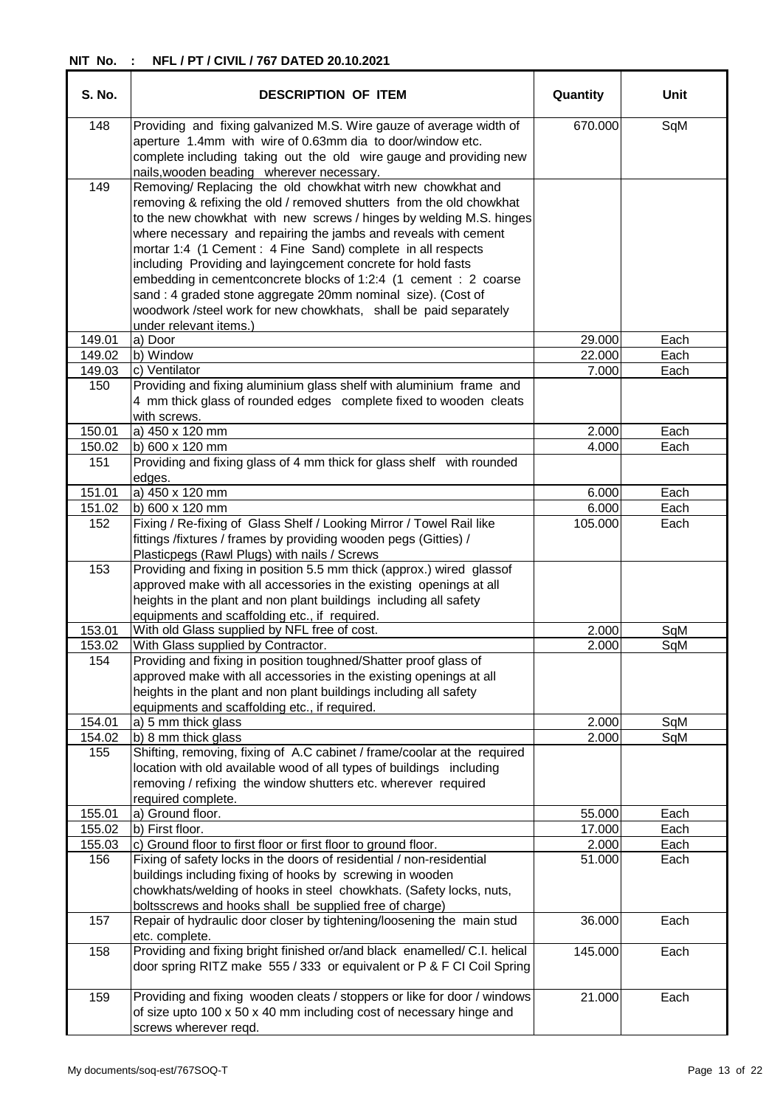| <b>S. No.</b>    | <b>DESCRIPTION OF ITEM</b>                                                                                                                                                                                                                                                                                                           | Quantity        | Unit         |
|------------------|--------------------------------------------------------------------------------------------------------------------------------------------------------------------------------------------------------------------------------------------------------------------------------------------------------------------------------------|-----------------|--------------|
| 148              | Providing and fixing galvanized M.S. Wire gauze of average width of<br>aperture 1.4mm with wire of 0.63mm dia to door/window etc.<br>complete including taking out the old wire gauge and providing new<br>nails, wooden beading wherever necessary.                                                                                 | 670.000         | SqM          |
| 149              | Removing/ Replacing the old chowkhat witrh new chowkhat and<br>removing & refixing the old / removed shutters from the old chowkhat<br>to the new chowkhat with new screws / hinges by welding M.S. hinges<br>where necessary and repairing the jambs and reveals with cement                                                        |                 |              |
|                  | mortar 1:4 (1 Cement : 4 Fine Sand) complete in all respects<br>including Providing and layingcement concrete for hold fasts<br>embedding in cementconcrete blocks of 1:2:4 (1 cement : 2 coarse<br>sand : 4 graded stone aggregate 20mm nominal size). (Cost of<br>woodwork /steel work for new chowkhats, shall be paid separately |                 |              |
|                  | under relevant items.)                                                                                                                                                                                                                                                                                                               |                 |              |
| 149.01           | a) Door                                                                                                                                                                                                                                                                                                                              | 29.000          | Each         |
| 149.02           | b) Window                                                                                                                                                                                                                                                                                                                            | 22.000          | Each         |
| 149.03           | c) Ventilator                                                                                                                                                                                                                                                                                                                        | 7.000           | Each         |
| 150              | Providing and fixing aluminium glass shelf with aluminium frame and<br>4 mm thick glass of rounded edges complete fixed to wooden cleats<br>with screws.                                                                                                                                                                             |                 |              |
| 150.01           | a) 450 x 120 mm                                                                                                                                                                                                                                                                                                                      | 2.000           | Each         |
| 150.02           | b) 600 x 120 mm                                                                                                                                                                                                                                                                                                                      | 4.000           | Each         |
| 151              | Providing and fixing glass of 4 mm thick for glass shelf with rounded<br>edges.                                                                                                                                                                                                                                                      |                 |              |
| 151.01           | a) 450 x 120 mm                                                                                                                                                                                                                                                                                                                      | 6.000           | Each         |
| 151.02           | b) 600 x 120 mm                                                                                                                                                                                                                                                                                                                      | 6.000           | Each         |
| 152              | Fixing / Re-fixing of Glass Shelf / Looking Mirror / Towel Rail like<br>fittings /fixtures / frames by providing wooden pegs (Gitties) /<br>Plasticpegs (Rawl Plugs) with nails / Screws                                                                                                                                             | 105.000         | Each         |
| 153              | Providing and fixing in position 5.5 mm thick (approx.) wired glassof<br>approved make with all accessories in the existing openings at all<br>heights in the plant and non plant buildings including all safety<br>equipments and scaffolding etc., if required.                                                                    |                 |              |
| 153.01           | With old Glass supplied by NFL free of cost.                                                                                                                                                                                                                                                                                         | 2.000           | SqM          |
| 153.02           | With Glass supplied by Contractor.                                                                                                                                                                                                                                                                                                   | 2.000           | SqM          |
| 154              | Providing and fixing in position toughned/Shatter proof glass of<br>approved make with all accessories in the existing openings at all<br>heights in the plant and non plant buildings including all safety<br>equipments and scaffolding etc., if required.                                                                         |                 |              |
| 154.01           | a) 5 mm thick glass                                                                                                                                                                                                                                                                                                                  | 2.000           | SqM          |
| 154.02           | b) 8 mm thick glass                                                                                                                                                                                                                                                                                                                  | 2.000           | SqM          |
| 155              | Shifting, removing, fixing of A.C cabinet / frame/coolar at the required<br>location with old available wood of all types of buildings including<br>removing / refixing the window shutters etc. wherever required                                                                                                                   |                 |              |
|                  | required complete.                                                                                                                                                                                                                                                                                                                   |                 |              |
| 155.01           | a) Ground floor.                                                                                                                                                                                                                                                                                                                     | 55.000          | Each         |
| 155.02<br>155.03 | b) First floor.<br>c) Ground floor to first floor or first floor to ground floor.                                                                                                                                                                                                                                                    | 17.000<br>2.000 | Each<br>Each |
| 156              | Fixing of safety locks in the doors of residential / non-residential                                                                                                                                                                                                                                                                 | 51.000          | Each         |
|                  | buildings including fixing of hooks by screwing in wooden<br>chowkhats/welding of hooks in steel chowkhats. (Safety locks, nuts,                                                                                                                                                                                                     |                 |              |
|                  | boltsscrews and hooks shall be supplied free of charge)                                                                                                                                                                                                                                                                              |                 |              |
| 157              | Repair of hydraulic door closer by tightening/loosening the main stud<br>etc. complete.                                                                                                                                                                                                                                              | 36.000          | Each         |
| 158              | Providing and fixing bright finished or/and black enamelled/ C.I. helical<br>door spring RITZ make 555 / 333 or equivalent or P & F CI Coil Spring                                                                                                                                                                                   | 145.000         | Each         |
| 159              | Providing and fixing wooden cleats / stoppers or like for door / windows<br>of size upto 100 x 50 x 40 mm including cost of necessary hinge and<br>screws wherever reqd.                                                                                                                                                             | 21.000          | Each         |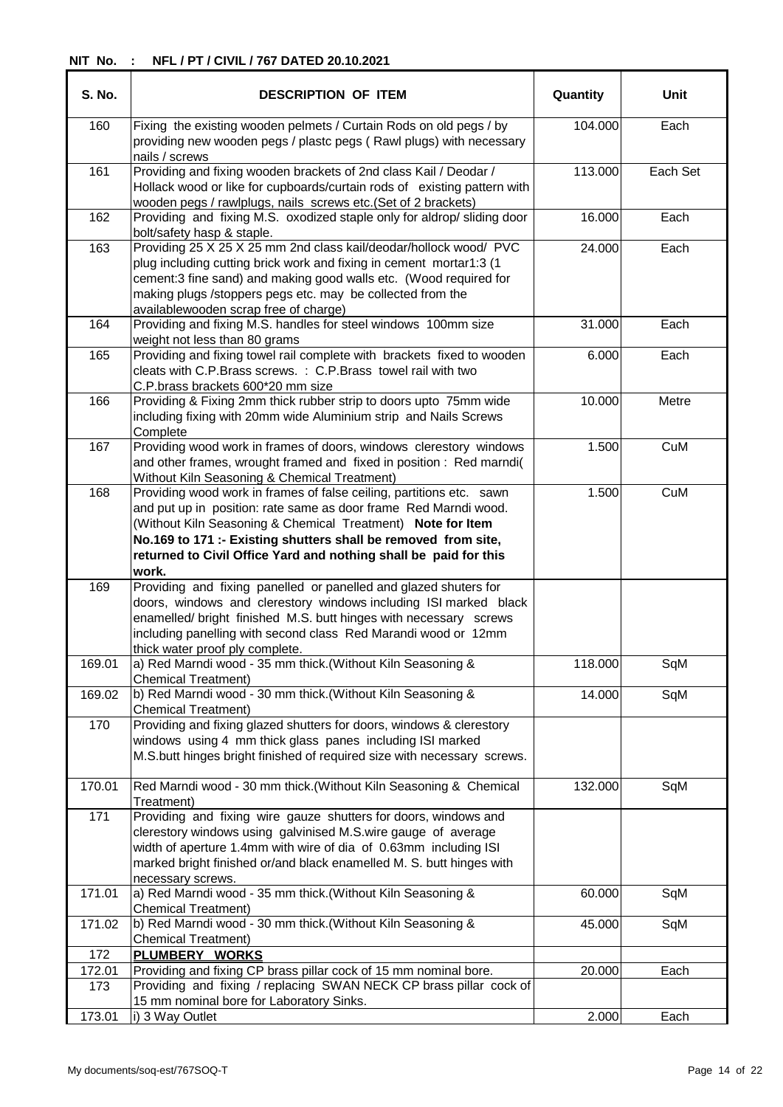| <b>S. No.</b> | <b>DESCRIPTION OF ITEM</b>                                                                                                                                                                                                                                                                                                                             | Quantity | <b>Unit</b> |
|---------------|--------------------------------------------------------------------------------------------------------------------------------------------------------------------------------------------------------------------------------------------------------------------------------------------------------------------------------------------------------|----------|-------------|
| 160           | Fixing the existing wooden pelmets / Curtain Rods on old pegs / by<br>providing new wooden pegs / plastc pegs (Rawl plugs) with necessary<br>nails / screws                                                                                                                                                                                            | 104.000  | Each        |
| 161           | Providing and fixing wooden brackets of 2nd class Kail / Deodar /<br>Hollack wood or like for cupboards/curtain rods of existing pattern with<br>wooden pegs / rawlplugs, nails screws etc.(Set of 2 brackets)                                                                                                                                         | 113.000  | Each Set    |
| 162           | Providing and fixing M.S. oxodized staple only for aldrop/ sliding door<br>bolt/safety hasp & staple.                                                                                                                                                                                                                                                  | 16.000   | Each        |
| 163           | Providing 25 X 25 X 25 mm 2nd class kail/deodar/hollock wood/ PVC<br>plug including cutting brick work and fixing in cement mortar1:3 (1<br>cement:3 fine sand) and making good walls etc. (Wood required for<br>making plugs /stoppers pegs etc. may be collected from the<br>availablewooden scrap free of charge)                                   | 24.000   | Each        |
| 164           | Providing and fixing M.S. handles for steel windows 100mm size<br>weight not less than 80 grams                                                                                                                                                                                                                                                        | 31.000   | Each        |
| 165           | Providing and fixing towel rail complete with brackets fixed to wooden<br>cleats with C.P.Brass screws. : C.P.Brass towel rail with two<br>C.P.brass brackets 600*20 mm size                                                                                                                                                                           | 6.000    | Each        |
| 166           | Providing & Fixing 2mm thick rubber strip to doors upto 75mm wide<br>including fixing with 20mm wide Aluminium strip and Nails Screws<br>Complete                                                                                                                                                                                                      | 10.000   | Metre       |
| 167           | Providing wood work in frames of doors, windows clerestory windows<br>and other frames, wrought framed and fixed in position : Red marndi(<br>Without Kiln Seasoning & Chemical Treatment)                                                                                                                                                             | 1.500    | CuM         |
| 168           | Providing wood work in frames of false ceiling, partitions etc. sawn<br>and put up in position: rate same as door frame Red Marndi wood.<br>(Without Kiln Seasoning & Chemical Treatment) Note for Item<br>No.169 to 171 :- Existing shutters shall be removed from site,<br>returned to Civil Office Yard and nothing shall be paid for this<br>work. | 1.500    | CuM         |
| 169           | Providing and fixing panelled or panelled and glazed shuters for<br>doors, windows and clerestory windows including ISI marked black<br>enamelled/ bright finished M.S. butt hinges with necessary screws<br>including panelling with second class Red Marandi wood or 12mm<br>thick water proof ply complete.                                         |          |             |
| 169.01        | a) Red Marndi wood - 35 mm thick.(Without Kiln Seasoning &<br><b>Chemical Treatment)</b>                                                                                                                                                                                                                                                               | 118.000  | SqM         |
| 169.02        | b) Red Marndi wood - 30 mm thick.(Without Kiln Seasoning &<br><b>Chemical Treatment)</b>                                                                                                                                                                                                                                                               | 14.000   | SqM         |
| 170           | Providing and fixing glazed shutters for doors, windows & clerestory<br>windows using 4 mm thick glass panes including ISI marked<br>M.S.butt hinges bright finished of required size with necessary screws.                                                                                                                                           |          |             |
| 170.01        | Red Marndi wood - 30 mm thick.(Without Kiln Seasoning & Chemical<br>Treatment)                                                                                                                                                                                                                                                                         | 132.000  | SqM         |
| 171           | Providing and fixing wire gauze shutters for doors, windows and<br>clerestory windows using galvinised M.S.wire gauge of average<br>width of aperture 1.4mm with wire of dia of 0.63mm including ISI<br>marked bright finished or/and black enamelled M. S. butt hinges with<br>necessary screws.                                                      |          |             |
| 171.01        | a) Red Marndi wood - 35 mm thick. (Without Kiln Seasoning &<br><b>Chemical Treatment)</b>                                                                                                                                                                                                                                                              | 60.000   | SqM         |
| 171.02        | b) Red Marndi wood - 30 mm thick.(Without Kiln Seasoning &<br>Chemical Treatment)                                                                                                                                                                                                                                                                      | 45.000   | SqM         |
| 172           | <b>PLUMBERY WORKS</b>                                                                                                                                                                                                                                                                                                                                  |          |             |
| 172.01<br>173 | Providing and fixing CP brass pillar cock of 15 mm nominal bore.<br>Providing and fixing / replacing SWAN NECK CP brass pillar cock of<br>15 mm nominal bore for Laboratory Sinks.                                                                                                                                                                     | 20.000   | Each        |
| 173.01        | i) 3 Way Outlet                                                                                                                                                                                                                                                                                                                                        | 2.000    | Each        |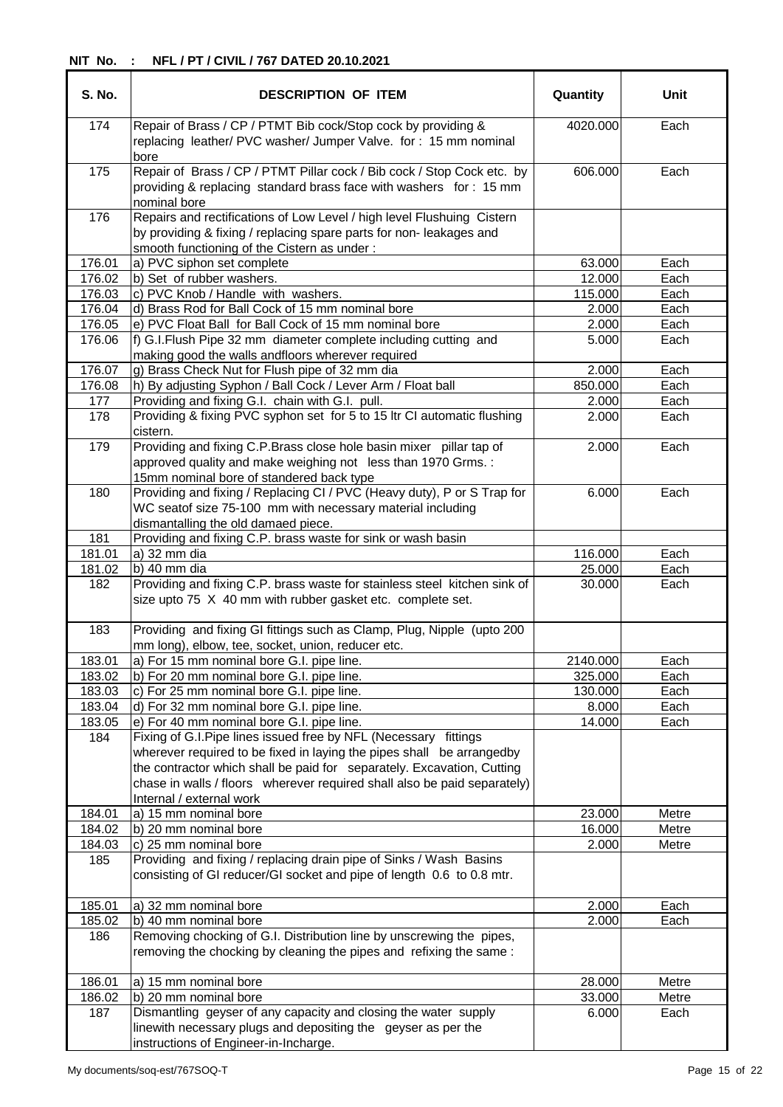| S. No. | <b>DESCRIPTION OF ITEM</b>                                                                                                                                                                                                                                                                                                  | Quantity | <b>Unit</b> |
|--------|-----------------------------------------------------------------------------------------------------------------------------------------------------------------------------------------------------------------------------------------------------------------------------------------------------------------------------|----------|-------------|
| 174    | Repair of Brass / CP / PTMT Bib cock/Stop cock by providing &<br>replacing leather/ PVC washer/ Jumper Valve. for: 15 mm nominal<br>bore                                                                                                                                                                                    | 4020.000 | Each        |
| 175    | Repair of Brass / CP / PTMT Pillar cock / Bib cock / Stop Cock etc. by<br>providing & replacing standard brass face with washers for: 15 mm<br>nominal bore                                                                                                                                                                 | 606.000  | Each        |
| 176    | Repairs and rectifications of Low Level / high level Flushuing Cistern<br>by providing & fixing / replacing spare parts for non-leakages and<br>smooth functioning of the Cistern as under:                                                                                                                                 |          |             |
| 176.01 | a) PVC siphon set complete                                                                                                                                                                                                                                                                                                  | 63.000   | Each        |
| 176.02 | b) Set of rubber washers.                                                                                                                                                                                                                                                                                                   | 12.000   | Each        |
| 176.03 | c) PVC Knob / Handle with washers.                                                                                                                                                                                                                                                                                          | 115.000  | Each        |
| 176.04 | d) Brass Rod for Ball Cock of 15 mm nominal bore                                                                                                                                                                                                                                                                            | 2.000    | Each        |
| 176.05 | e) PVC Float Ball for Ball Cock of 15 mm nominal bore                                                                                                                                                                                                                                                                       | 2.000    | Each        |
| 176.06 | f) G.I.Flush Pipe 32 mm diameter complete including cutting and<br>making good the walls andfloors wherever required                                                                                                                                                                                                        | 5.000    | Each        |
| 176.07 | g) Brass Check Nut for Flush pipe of 32 mm dia                                                                                                                                                                                                                                                                              | 2.000    | Each        |
| 176.08 | h) By adjusting Syphon / Ball Cock / Lever Arm / Float ball                                                                                                                                                                                                                                                                 | 850.000  | Each        |
| 177    | Providing and fixing G.I. chain with G.I. pull.                                                                                                                                                                                                                                                                             | 2.000    | Each        |
| 178    | Providing & fixing PVC syphon set for 5 to 15 ltr CI automatic flushing<br>cistern.                                                                                                                                                                                                                                         | 2.000    | Each        |
| 179    | Providing and fixing C.P.Brass close hole basin mixer pillar tap of<br>approved quality and make weighing not less than 1970 Grms. :<br>15mm nominal bore of standered back type                                                                                                                                            | 2.000    | Each        |
| 180    | Providing and fixing / Replacing CI / PVC (Heavy duty), P or S Trap for<br>WC seatof size 75-100 mm with necessary material including                                                                                                                                                                                       | 6.000    | Each        |
| 181    | dismantalling the old damaed piece.<br>Providing and fixing C.P. brass waste for sink or wash basin                                                                                                                                                                                                                         |          |             |
| 181.01 | a) 32 mm dia                                                                                                                                                                                                                                                                                                                | 116.000  | Each        |
| 181.02 | b) 40 mm dia                                                                                                                                                                                                                                                                                                                | 25.000   | Each        |
| 182    | Providing and fixing C.P. brass waste for stainless steel kitchen sink of<br>size upto 75 X 40 mm with rubber gasket etc. complete set.                                                                                                                                                                                     | 30.000   | Each        |
| 183    | Providing and fixing GI fittings such as Clamp, Plug, Nipple (upto 200)<br>mm long), elbow, tee, socket, union, reducer etc.                                                                                                                                                                                                |          |             |
| 183.01 | a) For 15 mm nominal bore G.I. pipe line.                                                                                                                                                                                                                                                                                   | 2140.000 | Each        |
| 183.02 | b) For 20 mm nominal bore G.I. pipe line.                                                                                                                                                                                                                                                                                   | 325.000  | Each        |
| 183.03 | c) For 25 mm nominal bore G.I. pipe line.                                                                                                                                                                                                                                                                                   | 130.000  | Each        |
| 183.04 | d) For 32 mm nominal bore G.I. pipe line.                                                                                                                                                                                                                                                                                   | 8.000    | Each        |
| 183.05 | e) For 40 mm nominal bore G.I. pipe line.                                                                                                                                                                                                                                                                                   | 14.000   | Each        |
| 184    | Fixing of G.I. Pipe lines issued free by NFL (Necessary fittings<br>wherever required to be fixed in laying the pipes shall be arrangedby<br>the contractor which shall be paid for separately. Excavation, Cutting<br>chase in walls / floors wherever required shall also be paid separately)<br>Internal / external work |          |             |
| 184.01 | a) 15 mm nominal bore                                                                                                                                                                                                                                                                                                       | 23.000   | Metre       |
| 184.02 | b) 20 mm nominal bore                                                                                                                                                                                                                                                                                                       | 16.000   | Metre       |
| 184.03 | c) 25 mm nominal bore                                                                                                                                                                                                                                                                                                       | 2.000    | Metre       |
| 185    | Providing and fixing / replacing drain pipe of Sinks / Wash Basins<br>consisting of GI reducer/GI socket and pipe of length 0.6 to 0.8 mtr.                                                                                                                                                                                 |          |             |
| 185.01 | a) 32 mm nominal bore                                                                                                                                                                                                                                                                                                       | 2.000    | Each        |
| 185.02 | b) 40 mm nominal bore                                                                                                                                                                                                                                                                                                       | 2.000    | Each        |
| 186    | Removing chocking of G.I. Distribution line by unscrewing the pipes,<br>removing the chocking by cleaning the pipes and refixing the same:                                                                                                                                                                                  |          |             |
| 186.01 | a) 15 mm nominal bore                                                                                                                                                                                                                                                                                                       | 28.000   | Metre       |
| 186.02 | b) 20 mm nominal bore                                                                                                                                                                                                                                                                                                       | 33.000   | Metre       |
| 187    | Dismantling geyser of any capacity and closing the water supply<br>linewith necessary plugs and depositing the geyser as per the                                                                                                                                                                                            | 6.000    | Each        |
|        | instructions of Engineer-in-Incharge.                                                                                                                                                                                                                                                                                       |          |             |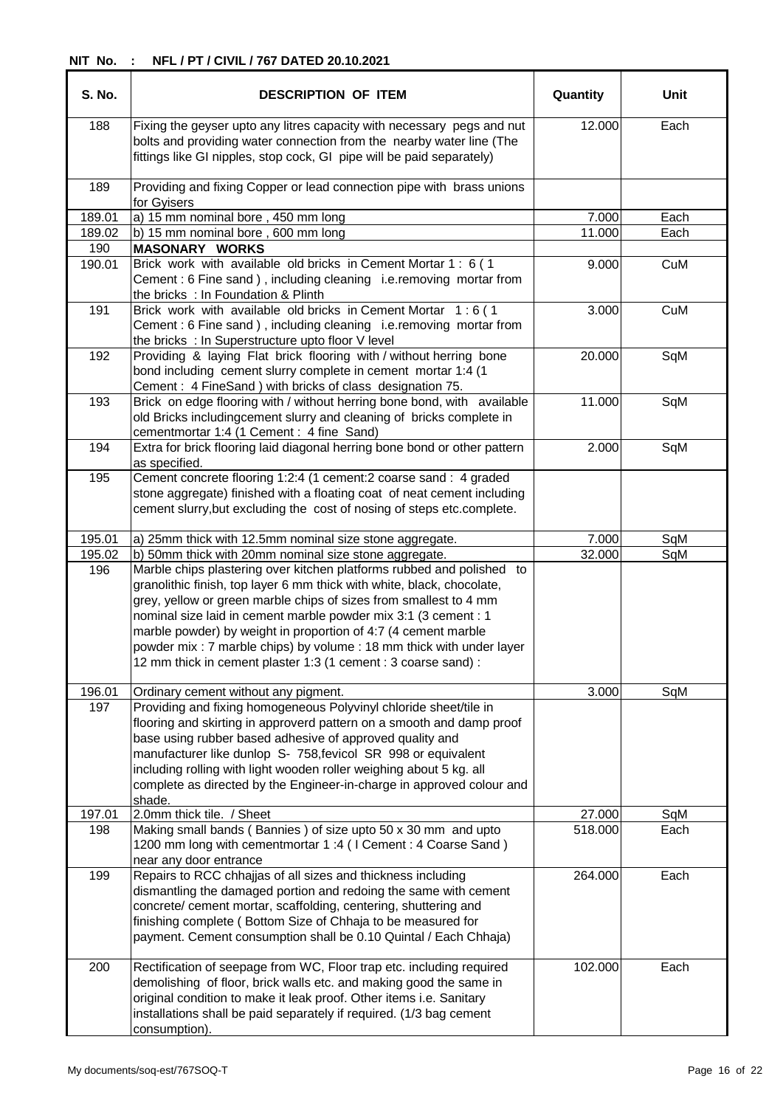| <b>S. No.</b> | <b>DESCRIPTION OF ITEM</b>                                                                                                                                                                                                                                                                                                                                                                                                                                                                         | Quantity | Unit |
|---------------|----------------------------------------------------------------------------------------------------------------------------------------------------------------------------------------------------------------------------------------------------------------------------------------------------------------------------------------------------------------------------------------------------------------------------------------------------------------------------------------------------|----------|------|
| 188           | Fixing the geyser upto any litres capacity with necessary pegs and nut<br>bolts and providing water connection from the nearby water line (The<br>fittings like GI nipples, stop cock, GI pipe will be paid separately)                                                                                                                                                                                                                                                                            | 12.000   | Each |
| 189           | Providing and fixing Copper or lead connection pipe with brass unions<br>for Gyisers                                                                                                                                                                                                                                                                                                                                                                                                               |          |      |
| 189.01        | a) 15 mm nominal bore, 450 mm long                                                                                                                                                                                                                                                                                                                                                                                                                                                                 | 7.000    | Each |
| 189.02        | b) 15 mm nominal bore, 600 mm long                                                                                                                                                                                                                                                                                                                                                                                                                                                                 | 11.000   | Each |
| 190           | <b>MASONARY WORKS</b>                                                                                                                                                                                                                                                                                                                                                                                                                                                                              |          |      |
| 190.01        | Brick work with available old bricks in Cement Mortar 1 : 6 (1<br>Cement: 6 Fine sand), including cleaning i.e.removing mortar from<br>the bricks : In Foundation & Plinth                                                                                                                                                                                                                                                                                                                         | 9.000    | CuM  |
| 191           | Brick work with available old bricks in Cement Mortar 1:6 (1<br>Cement: 6 Fine sand), including cleaning i.e.removing mortar from<br>the bricks : In Superstructure upto floor V level                                                                                                                                                                                                                                                                                                             | 3.000    | CuM  |
| 192           | Providing & laying Flat brick flooring with / without herring bone<br>bond including cement slurry complete in cement mortar 1:4 (1<br>Cement: 4 FineSand ) with bricks of class designation 75.                                                                                                                                                                                                                                                                                                   | 20.000   | SqM  |
| 193           | Brick on edge flooring with / without herring bone bond, with available<br>old Bricks includingcement slurry and cleaning of bricks complete in<br>cementmortar 1:4 (1 Cement : 4 fine Sand)                                                                                                                                                                                                                                                                                                       | 11.000   | SqM  |
| 194           | Extra for brick flooring laid diagonal herring bone bond or other pattern<br>as specified.                                                                                                                                                                                                                                                                                                                                                                                                         | 2.000    | SqM  |
| 195           | Cement concrete flooring 1:2:4 (1 cement:2 coarse sand : 4 graded<br>stone aggregate) finished with a floating coat of neat cement including<br>cement slurry, but excluding the cost of nosing of steps etc.complete.                                                                                                                                                                                                                                                                             |          |      |
| 195.01        | a) 25mm thick with 12.5mm nominal size stone aggregate.                                                                                                                                                                                                                                                                                                                                                                                                                                            | 7.000    | SqM  |
| 195.02        | b) 50mm thick with 20mm nominal size stone aggregate.                                                                                                                                                                                                                                                                                                                                                                                                                                              | 32.000   | SqM  |
| 196           | Marble chips plastering over kitchen platforms rubbed and polished to<br>granolithic finish, top layer 6 mm thick with white, black, chocolate,<br>grey, yellow or green marble chips of sizes from smallest to 4 mm<br>nominal size laid in cement marble powder mix 3:1 (3 cement : 1<br>marble powder) by weight in proportion of 4:7 (4 cement marble<br>powder mix: 7 marble chips) by volume: 18 mm thick with under layer<br>12 mm thick in cement plaster 1:3 (1 cement : 3 coarse sand) : |          |      |
| 196.01        | Ordinary cement without any pigment.                                                                                                                                                                                                                                                                                                                                                                                                                                                               | 3.000    | SqM  |
| 197           | Providing and fixing homogeneous Polyvinyl chloride sheet/tile in<br>flooring and skirting in approverd pattern on a smooth and damp proof<br>base using rubber based adhesive of approved quality and<br>manufacturer like dunlop S- 758, fevicol SR 998 or equivalent<br>including rolling with light wooden roller weighing about 5 kg. all<br>complete as directed by the Engineer-in-charge in approved colour and<br>shade.                                                                  |          |      |
| 197.01        | 2.0mm thick tile. / Sheet                                                                                                                                                                                                                                                                                                                                                                                                                                                                          | 27.000   | SqM  |
| 198           | Making small bands (Bannies) of size upto 50 x 30 mm and upto<br>1200 mm long with cementmortar 1:4 (I Cement: 4 Coarse Sand)<br>near any door entrance                                                                                                                                                                                                                                                                                                                                            | 518.000  | Each |
| 199           | Repairs to RCC chhajjas of all sizes and thickness including<br>dismantling the damaged portion and redoing the same with cement<br>concrete/ cement mortar, scaffolding, centering, shuttering and<br>finishing complete (Bottom Size of Chhaja to be measured for<br>payment. Cement consumption shall be 0.10 Quintal / Each Chhaja)                                                                                                                                                            | 264.000  | Each |
| 200           | Rectification of seepage from WC, Floor trap etc. including required<br>demolishing of floor, brick walls etc. and making good the same in<br>original condition to make it leak proof. Other items i.e. Sanitary<br>installations shall be paid separately if required. (1/3 bag cement<br>consumption).                                                                                                                                                                                          | 102.000  | Each |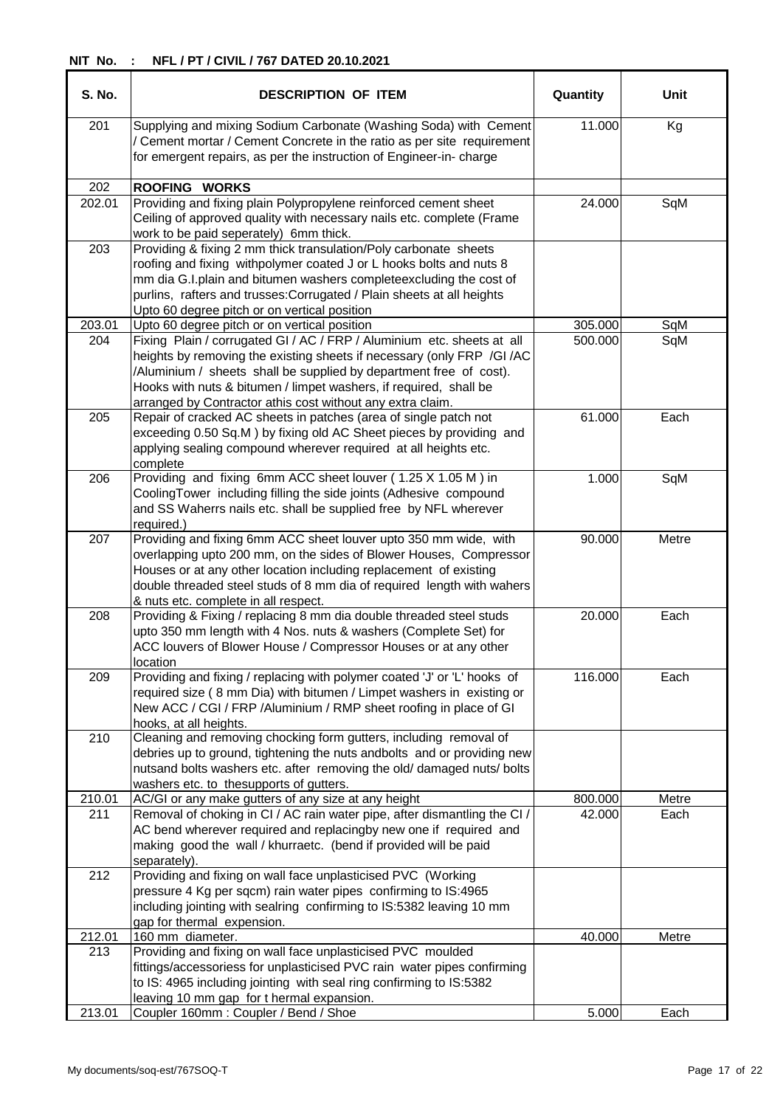| <b>S. No.</b> | <b>DESCRIPTION OF ITEM</b>                                                                                                                                                                                                                                                                                                                                | Quantity | Unit  |
|---------------|-----------------------------------------------------------------------------------------------------------------------------------------------------------------------------------------------------------------------------------------------------------------------------------------------------------------------------------------------------------|----------|-------|
| 201           | Supplying and mixing Sodium Carbonate (Washing Soda) with Cement<br>/ Cement mortar / Cement Concrete in the ratio as per site requirement<br>for emergent repairs, as per the instruction of Engineer-in-charge                                                                                                                                          | 11.000   | Kg    |
| 202           | <b>ROOFING WORKS</b>                                                                                                                                                                                                                                                                                                                                      |          |       |
| 202.01        | Providing and fixing plain Polypropylene reinforced cement sheet<br>Ceiling of approved quality with necessary nails etc. complete (Frame<br>work to be paid seperately) 6mm thick.                                                                                                                                                                       | 24.000   | SqM   |
| 203           | Providing & fixing 2 mm thick transulation/Poly carbonate sheets<br>roofing and fixing withpolymer coated J or L hooks bolts and nuts 8<br>mm dia G.I.plain and bitumen washers completeexcluding the cost of<br>purlins, rafters and trusses: Corrugated / Plain sheets at all heights<br>Upto 60 degree pitch or on vertical position                   |          |       |
| 203.01        | Upto 60 degree pitch or on vertical position                                                                                                                                                                                                                                                                                                              | 305.000  | SqM   |
| 204           | Fixing Plain / corrugated GI / AC / FRP / Aluminium etc. sheets at all<br>heights by removing the existing sheets if necessary (only FRP /GI /AC<br>/Aluminium / sheets shall be supplied by department free of cost).<br>Hooks with nuts & bitumen / limpet washers, if required, shall be<br>arranged by Contractor athis cost without any extra claim. | 500.000  | SqM   |
| 205           | Repair of cracked AC sheets in patches (area of single patch not<br>exceeding 0.50 Sq.M ) by fixing old AC Sheet pieces by providing and<br>applying sealing compound wherever required at all heights etc.<br>complete                                                                                                                                   | 61.000   | Each  |
| 206           | Providing and fixing 6mm ACC sheet louver (1.25 X 1.05 M) in<br>CoolingTower including filling the side joints (Adhesive compound<br>and SS Waherrs nails etc. shall be supplied free by NFL wherever<br>required.)                                                                                                                                       | 1.000    | SqM   |
| 207           | Providing and fixing 6mm ACC sheet louver upto 350 mm wide, with<br>overlapping upto 200 mm, on the sides of Blower Houses, Compressor<br>Houses or at any other location including replacement of existing<br>double threaded steel studs of 8 mm dia of required length with wahers<br>& nuts etc. complete in all respect.                             | 90.000   | Metre |
| 208           | Providing & Fixing / replacing 8 mm dia double threaded steel studs<br>upto 350 mm length with 4 Nos. nuts & washers (Complete Set) for<br>ACC louvers of Blower House / Compressor Houses or at any other<br>location                                                                                                                                    | 20.000   | Each  |
| 209           | Providing and fixing / replacing with polymer coated 'J' or 'L' hooks of<br>required size (8 mm Dia) with bitumen / Limpet washers in existing or<br>New ACC / CGI / FRP /Aluminium / RMP sheet roofing in place of GI<br>hooks, at all heights.                                                                                                          | 116.000  | Each  |
| 210           | Cleaning and removing chocking form gutters, including removal of<br>debries up to ground, tightening the nuts andbolts and or providing new<br>nutsand bolts washers etc. after removing the old/ damaged nuts/ bolts<br>washers etc. to thesupports of gutters.                                                                                         |          |       |
| 210.01        | AC/GI or any make gutters of any size at any height                                                                                                                                                                                                                                                                                                       | 800.000  | Metre |
| 211           | Removal of choking in CI / AC rain water pipe, after dismantling the CI /<br>AC bend wherever required and replacingby new one if required and<br>making good the wall / khurraetc. (bend if provided will be paid<br>separately).                                                                                                                        | 42.000   | Each  |
| 212           | Providing and fixing on wall face unplasticised PVC (Working<br>pressure 4 Kg per sqcm) rain water pipes confirming to IS:4965<br>including jointing with sealring confirming to IS:5382 leaving 10 mm<br>gap for thermal expension.                                                                                                                      |          |       |
| 212.01        | 160 mm diameter.                                                                                                                                                                                                                                                                                                                                          | 40.000   | Metre |
| 213           | Providing and fixing on wall face unplasticised PVC moulded<br>fittings/accessoriess for unplasticised PVC rain water pipes confirming<br>to IS: 4965 including jointing with seal ring confirming to IS:5382<br>leaving 10 mm gap for t hermal expansion.                                                                                                |          |       |
| 213.01        | Coupler 160mm: Coupler / Bend / Shoe                                                                                                                                                                                                                                                                                                                      | 5.000    | Each  |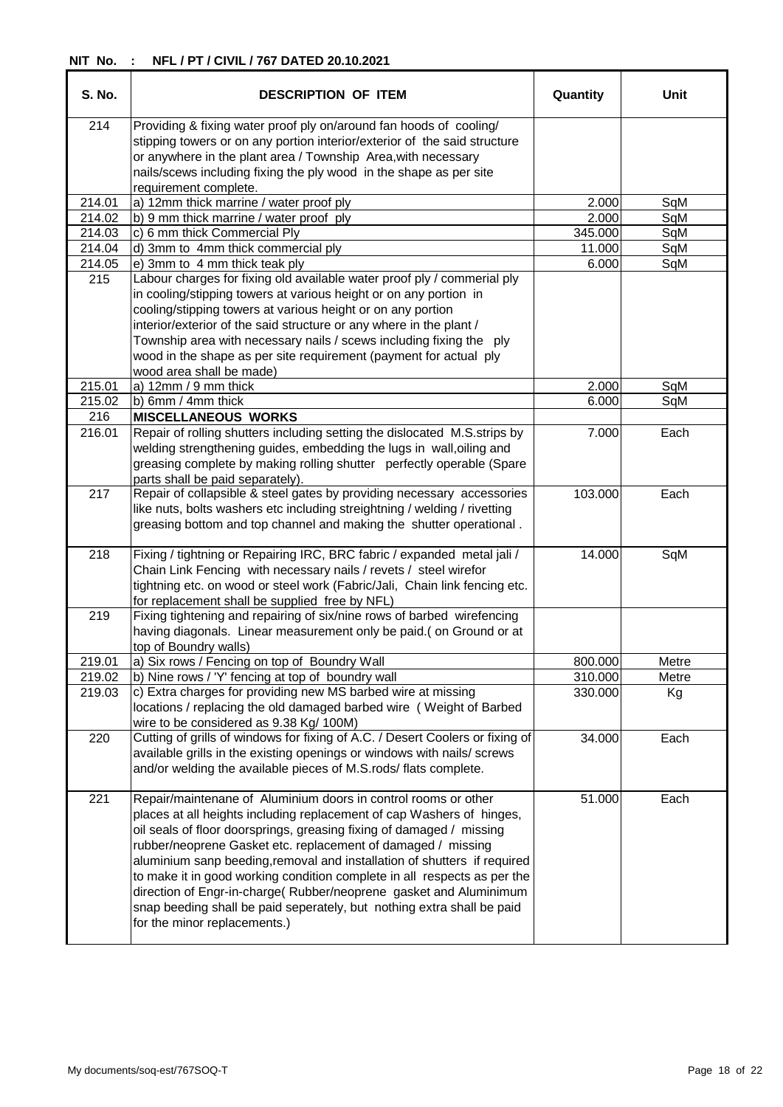| S. No. | <b>DESCRIPTION OF ITEM</b>                                                                                                                                                                                                                                                                                                                                                                                                                                                                                                                                                                                             | Quantity | <b>Unit</b> |
|--------|------------------------------------------------------------------------------------------------------------------------------------------------------------------------------------------------------------------------------------------------------------------------------------------------------------------------------------------------------------------------------------------------------------------------------------------------------------------------------------------------------------------------------------------------------------------------------------------------------------------------|----------|-------------|
| 214    | Providing & fixing water proof ply on/around fan hoods of cooling/<br>stipping towers or on any portion interior/exterior of the said structure<br>or anywhere in the plant area / Township Area, with necessary<br>nails/scews including fixing the ply wood in the shape as per site                                                                                                                                                                                                                                                                                                                                 |          |             |
|        | requirement complete.                                                                                                                                                                                                                                                                                                                                                                                                                                                                                                                                                                                                  |          |             |
| 214.01 | a) 12mm thick marrine / water proof ply                                                                                                                                                                                                                                                                                                                                                                                                                                                                                                                                                                                | 2.000    | SqM         |
| 214.02 | b) 9 mm thick marrine / water proof ply                                                                                                                                                                                                                                                                                                                                                                                                                                                                                                                                                                                | 2.000    | SqM         |
| 214.03 | c) 6 mm thick Commercial Ply                                                                                                                                                                                                                                                                                                                                                                                                                                                                                                                                                                                           | 345.000  | SqM         |
| 214.04 | d) 3mm to 4mm thick commercial ply                                                                                                                                                                                                                                                                                                                                                                                                                                                                                                                                                                                     | 11.000   | SqM         |
| 214.05 | e) 3mm to 4 mm thick teak ply                                                                                                                                                                                                                                                                                                                                                                                                                                                                                                                                                                                          | 6.000    | SqM         |
| 215    | Labour charges for fixing old available water proof ply / commerial ply<br>in cooling/stipping towers at various height or on any portion in<br>cooling/stipping towers at various height or on any portion<br>interior/exterior of the said structure or any where in the plant /<br>Township area with necessary nails / scews including fixing the ply                                                                                                                                                                                                                                                              |          |             |
|        | wood in the shape as per site requirement (payment for actual ply                                                                                                                                                                                                                                                                                                                                                                                                                                                                                                                                                      |          |             |
| 215.01 | wood area shall be made)<br>a) $12mm/9mm$ thick                                                                                                                                                                                                                                                                                                                                                                                                                                                                                                                                                                        | 2.000    |             |
|        |                                                                                                                                                                                                                                                                                                                                                                                                                                                                                                                                                                                                                        |          | SqM         |
| 215.02 | b) 6mm / 4mm thick                                                                                                                                                                                                                                                                                                                                                                                                                                                                                                                                                                                                     | 6.000    | SqM         |
| 216    | <b>MISCELLANEOUS WORKS</b><br>Repair of rolling shutters including setting the dislocated M.S.strips by                                                                                                                                                                                                                                                                                                                                                                                                                                                                                                                |          |             |
| 216.01 | welding strengthening guides, embedding the lugs in wall, oiling and<br>greasing complete by making rolling shutter perfectly operable (Spare<br>parts shall be paid separately).                                                                                                                                                                                                                                                                                                                                                                                                                                      | 7.000    | Each        |
| 217    | Repair of collapsible & steel gates by providing necessary accessories<br>like nuts, bolts washers etc including streightning / welding / rivetting<br>greasing bottom and top channel and making the shutter operational.                                                                                                                                                                                                                                                                                                                                                                                             | 103.000  | Each        |
| 218    | Fixing / tightning or Repairing IRC, BRC fabric / expanded metal jali /<br>Chain Link Fencing with necessary nails / revets / steel wirefor<br>tightning etc. on wood or steel work (Fabric/Jali, Chain link fencing etc.<br>for replacement shall be supplied free by NFL)                                                                                                                                                                                                                                                                                                                                            | 14.000   | SqM         |
| 219    | Fixing tightening and repairing of six/nine rows of barbed wirefencing<br>having diagonals. Linear measurement only be paid.(on Ground or at<br>top of Boundry walls)                                                                                                                                                                                                                                                                                                                                                                                                                                                  |          |             |
| 219.01 | a) Six rows / Fencing on top of Boundry Wall                                                                                                                                                                                                                                                                                                                                                                                                                                                                                                                                                                           | 800.000  | Metre       |
| 219.02 | b) Nine rows / 'Y' fencing at top of boundry wall                                                                                                                                                                                                                                                                                                                                                                                                                                                                                                                                                                      | 310.000  | Metre       |
| 219.03 | c) Extra charges for providing new MS barbed wire at missing<br>locations / replacing the old damaged barbed wire ( Weight of Barbed<br>wire to be considered as 9.38 Kg/ 100M)                                                                                                                                                                                                                                                                                                                                                                                                                                        | 330.000  | Кg          |
| 220    | Cutting of grills of windows for fixing of A.C. / Desert Coolers or fixing of<br>available grills in the existing openings or windows with nails/ screws<br>and/or welding the available pieces of M.S.rods/ flats complete.                                                                                                                                                                                                                                                                                                                                                                                           | 34.000   | Each        |
| 221    | Repair/maintenane of Aluminium doors in control rooms or other<br>places at all heights including replacement of cap Washers of hinges,<br>oil seals of floor doorsprings, greasing fixing of damaged / missing<br>rubber/neoprene Gasket etc. replacement of damaged / missing<br>aluminium sanp beeding, removal and installation of shutters if required<br>to make it in good working condition complete in all respects as per the<br>direction of Engr-in-charge(Rubber/neoprene gasket and Aluminimum<br>snap beeding shall be paid seperately, but nothing extra shall be paid<br>for the minor replacements.) | 51.000   | Each        |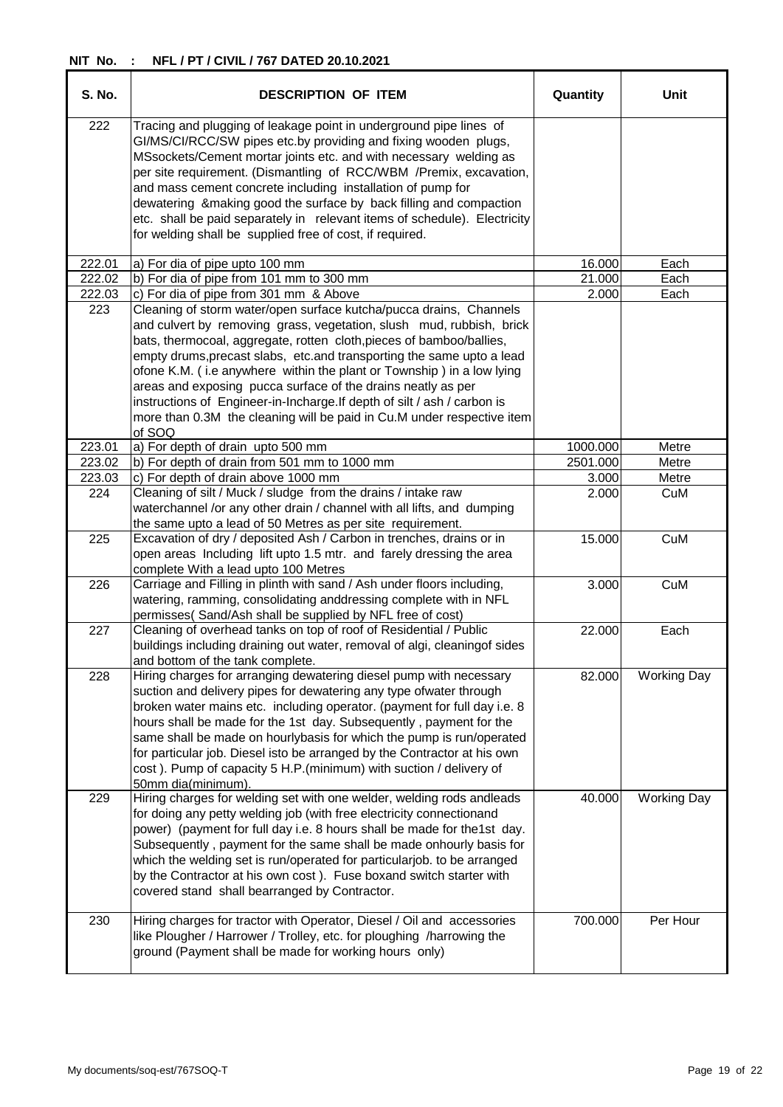| <b>S. No.</b> | <b>DESCRIPTION OF ITEM</b>                                                                                                                                                                                                                                                                                                                                                                                                                                                                                                                                                                            | Quantity | Unit               |
|---------------|-------------------------------------------------------------------------------------------------------------------------------------------------------------------------------------------------------------------------------------------------------------------------------------------------------------------------------------------------------------------------------------------------------------------------------------------------------------------------------------------------------------------------------------------------------------------------------------------------------|----------|--------------------|
| 222           | Tracing and plugging of leakage point in underground pipe lines of<br>GI/MS/CI/RCC/SW pipes etc.by providing and fixing wooden plugs,<br>MSsockets/Cement mortar joints etc. and with necessary welding as<br>per site requirement. (Dismantling of RCC/WBM /Premix, excavation,<br>and mass cement concrete including installation of pump for<br>dewatering & making good the surface by back filling and compaction<br>etc. shall be paid separately in relevant items of schedule). Electricity<br>for welding shall be supplied free of cost, if required.                                       |          |                    |
| 222.01        | a) For dia of pipe upto 100 mm                                                                                                                                                                                                                                                                                                                                                                                                                                                                                                                                                                        | 16.000   | Each               |
| 222.02        | b) For dia of pipe from 101 mm to 300 mm                                                                                                                                                                                                                                                                                                                                                                                                                                                                                                                                                              | 21.000   | Each               |
| 222.03        | c) For dia of pipe from 301 mm & Above                                                                                                                                                                                                                                                                                                                                                                                                                                                                                                                                                                | 2.000    | Each               |
| 223           | Cleaning of storm water/open surface kutcha/pucca drains, Channels<br>and culvert by removing grass, vegetation, slush mud, rubbish, brick<br>bats, thermocoal, aggregate, rotten cloth, pieces of bamboo/ballies,<br>empty drums, precast slabs, etc. and transporting the same upto a lead<br>ofone K.M. (i.e anywhere within the plant or Township) in a low lying<br>areas and exposing pucca surface of the drains neatly as per<br>instructions of Engineer-in-Incharge. If depth of silt / ash / carbon is<br>more than 0.3M the cleaning will be paid in Cu.M under respective item<br>of SOQ |          |                    |
| 223.01        | a) For depth of drain upto 500 mm                                                                                                                                                                                                                                                                                                                                                                                                                                                                                                                                                                     | 1000.000 | Metre              |
| 223.02        | b) For depth of drain from 501 mm to 1000 mm                                                                                                                                                                                                                                                                                                                                                                                                                                                                                                                                                          | 2501.000 | Metre              |
| 223.03        | c) For depth of drain above 1000 mm                                                                                                                                                                                                                                                                                                                                                                                                                                                                                                                                                                   | 3.000    | Metre              |
| 224           | Cleaning of silt / Muck / sludge from the drains / intake raw<br>waterchannel /or any other drain / channel with all lifts, and dumping<br>the same upto a lead of 50 Metres as per site requirement.                                                                                                                                                                                                                                                                                                                                                                                                 | 2.000    | CuM                |
| 225           | Excavation of dry / deposited Ash / Carbon in trenches, drains or in<br>open areas Including lift upto 1.5 mtr. and farely dressing the area<br>complete With a lead upto 100 Metres                                                                                                                                                                                                                                                                                                                                                                                                                  | 15.000   | CuM                |
| 226           | Carriage and Filling in plinth with sand / Ash under floors including,<br>watering, ramming, consolidating anddressing complete with in NFL<br>permisses(Sand/Ash shall be supplied by NFL free of cost)                                                                                                                                                                                                                                                                                                                                                                                              | 3.000    | CuM                |
| 227           | Cleaning of overhead tanks on top of roof of Residential / Public<br>buildings including draining out water, removal of algi, cleaningof sides<br>and bottom of the tank complete.                                                                                                                                                                                                                                                                                                                                                                                                                    | 22.000   | Each               |
| 228           | Hiring charges for arranging dewatering diesel pump with necessary<br>suction and delivery pipes for dewatering any type ofwater through<br>broken water mains etc. including operator. (payment for full day i.e. 8<br>hours shall be made for the 1st day. Subsequently, payment for the<br>same shall be made on hourlybasis for which the pump is run/operated<br>for particular job. Diesel isto be arranged by the Contractor at his own<br>cost). Pump of capacity 5 H.P.(minimum) with suction / delivery of<br>50mm dia(minimum).                                                            | 82.000   | <b>Working Day</b> |
| 229           | Hiring charges for welding set with one welder, welding rods andleads<br>for doing any petty welding job (with free electricity connectionand<br>power) (payment for full day i.e. 8 hours shall be made for the1st day.<br>Subsequently, payment for the same shall be made onhourly basis for<br>which the welding set is run/operated for particularjob. to be arranged<br>by the Contractor at his own cost). Fuse boxand switch starter with<br>covered stand shall bearranged by Contractor.                                                                                                    | 40.000   | <b>Working Day</b> |
| 230           | Hiring charges for tractor with Operator, Diesel / Oil and accessories<br>like Plougher / Harrower / Trolley, etc. for ploughing /harrowing the<br>ground (Payment shall be made for working hours only)                                                                                                                                                                                                                                                                                                                                                                                              | 700.000  | Per Hour           |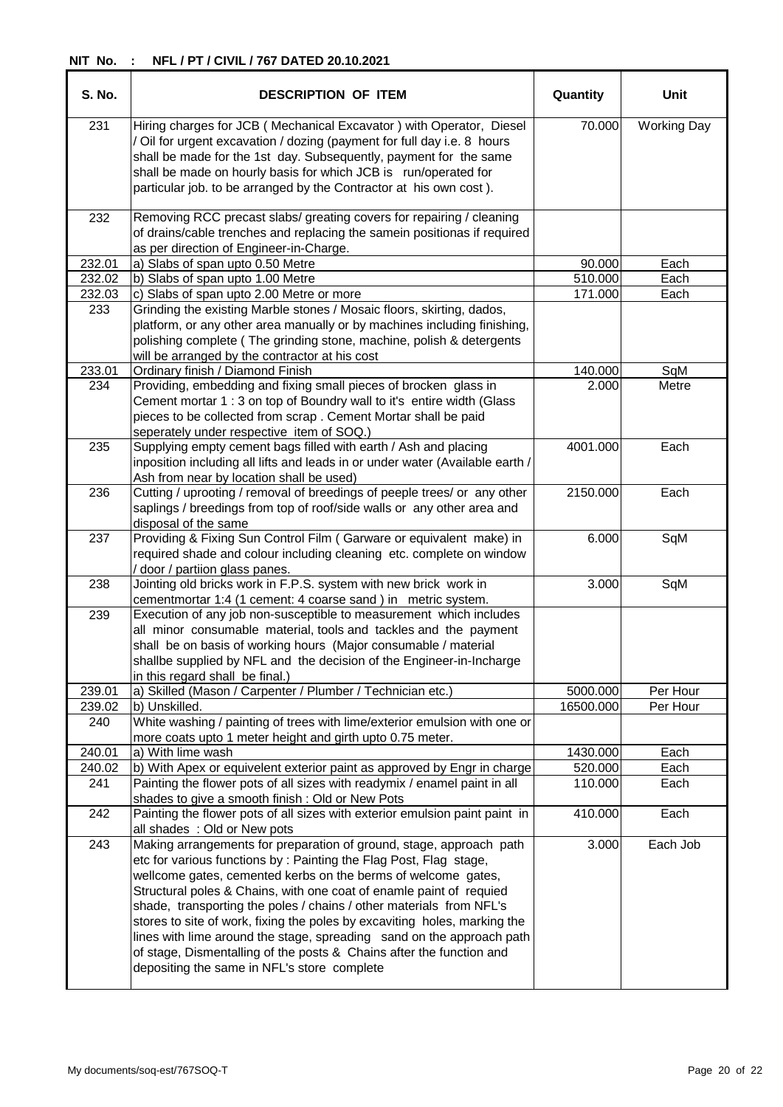| S. No. | <b>DESCRIPTION OF ITEM</b>                                                                                                                                                                                                                                                                                                                                                                                                                                                                                                                                                                                                           | Quantity  | Unit               |
|--------|--------------------------------------------------------------------------------------------------------------------------------------------------------------------------------------------------------------------------------------------------------------------------------------------------------------------------------------------------------------------------------------------------------------------------------------------------------------------------------------------------------------------------------------------------------------------------------------------------------------------------------------|-----------|--------------------|
| 231    | Hiring charges for JCB (Mechanical Excavator) with Operator, Diesel<br>/ Oil for urgent excavation / dozing (payment for full day i.e. 8 hours<br>shall be made for the 1st day. Subsequently, payment for the same<br>shall be made on hourly basis for which JCB is run/operated for<br>particular job. to be arranged by the Contractor at his own cost).                                                                                                                                                                                                                                                                         | 70.000    | <b>Working Day</b> |
| 232    | Removing RCC precast slabs/ greating covers for repairing / cleaning<br>of drains/cable trenches and replacing the samein positionas if required<br>as per direction of Engineer-in-Charge.                                                                                                                                                                                                                                                                                                                                                                                                                                          |           |                    |
| 232.01 | a) Slabs of span upto 0.50 Metre                                                                                                                                                                                                                                                                                                                                                                                                                                                                                                                                                                                                     | 90.000    | Each               |
| 232.02 | b) Slabs of span upto 1.00 Metre                                                                                                                                                                                                                                                                                                                                                                                                                                                                                                                                                                                                     | 510.000   | Each               |
| 232.03 | c) Slabs of span upto 2.00 Metre or more                                                                                                                                                                                                                                                                                                                                                                                                                                                                                                                                                                                             | 171.000   | Each               |
| 233    | Grinding the existing Marble stones / Mosaic floors, skirting, dados,<br>platform, or any other area manually or by machines including finishing,<br>polishing complete (The grinding stone, machine, polish & detergents<br>will be arranged by the contractor at his cost                                                                                                                                                                                                                                                                                                                                                          |           |                    |
| 233.01 | Ordinary finish / Diamond Finish                                                                                                                                                                                                                                                                                                                                                                                                                                                                                                                                                                                                     | 140.000   | SqM                |
| 234    | Providing, embedding and fixing small pieces of brocken glass in<br>Cement mortar 1: 3 on top of Boundry wall to it's entire width (Glass<br>pieces to be collected from scrap. Cement Mortar shall be paid<br>seperately under respective item of SOQ.)                                                                                                                                                                                                                                                                                                                                                                             | 2.000     | Metre              |
| 235    | Supplying empty cement bags filled with earth / Ash and placing<br>inposition including all lifts and leads in or under water (Available earth /<br>Ash from near by location shall be used)                                                                                                                                                                                                                                                                                                                                                                                                                                         | 4001.000  | Each               |
| 236    | Cutting / uprooting / removal of breedings of peeple trees/ or any other<br>saplings / breedings from top of roof/side walls or any other area and<br>disposal of the same                                                                                                                                                                                                                                                                                                                                                                                                                                                           | 2150.000  | Each               |
| 237    | Providing & Fixing Sun Control Film (Garware or equivalent make) in<br>required shade and colour including cleaning etc. complete on window<br>/ door / partiion glass panes.                                                                                                                                                                                                                                                                                                                                                                                                                                                        | 6.000     | SqM                |
| 238    | Jointing old bricks work in F.P.S. system with new brick work in<br>cementmortar 1:4 (1 cement: 4 coarse sand) in metric system.                                                                                                                                                                                                                                                                                                                                                                                                                                                                                                     | 3.000     | SqM                |
| 239    | Execution of any job non-susceptible to measurement which includes<br>all minor consumable material, tools and tackles and the payment<br>shall be on basis of working hours (Major consumable / material<br>shallbe supplied by NFL and the decision of the Engineer-in-Incharge<br>in this regard shall be final.)                                                                                                                                                                                                                                                                                                                 |           |                    |
| 239.01 | a) Skilled (Mason / Carpenter / Plumber / Technician etc.)                                                                                                                                                                                                                                                                                                                                                                                                                                                                                                                                                                           | 5000.000  | Per Hour           |
| 239.02 | b) Unskilled.                                                                                                                                                                                                                                                                                                                                                                                                                                                                                                                                                                                                                        | 16500.000 | Per Hour           |
| 240    | White washing / painting of trees with lime/exterior emulsion with one or<br>more coats upto 1 meter height and girth upto 0.75 meter.                                                                                                                                                                                                                                                                                                                                                                                                                                                                                               |           |                    |
| 240.01 | a) With lime wash                                                                                                                                                                                                                                                                                                                                                                                                                                                                                                                                                                                                                    | 1430.000  | Each               |
| 240.02 | b) With Apex or equivelent exterior paint as approved by Engr in charge                                                                                                                                                                                                                                                                                                                                                                                                                                                                                                                                                              | 520.000   | Each               |
| 241    | Painting the flower pots of all sizes with readymix / enamel paint in all<br>shades to give a smooth finish: Old or New Pots                                                                                                                                                                                                                                                                                                                                                                                                                                                                                                         | 110.000   | Each               |
| 242    | Painting the flower pots of all sizes with exterior emulsion paint paint in<br>all shades : Old or New pots                                                                                                                                                                                                                                                                                                                                                                                                                                                                                                                          | 410.000   | Each               |
| 243    | Making arrangements for preparation of ground, stage, approach path<br>etc for various functions by: Painting the Flag Post, Flag stage,<br>wellcome gates, cemented kerbs on the berms of welcome gates,<br>Structural poles & Chains, with one coat of enamle paint of requied<br>shade, transporting the poles / chains / other materials from NFL's<br>stores to site of work, fixing the poles by excaviting holes, marking the<br>lines with lime around the stage, spreading sand on the approach path<br>of stage, Dismentalling of the posts & Chains after the function and<br>depositing the same in NFL's store complete | 3.000     | Each Job           |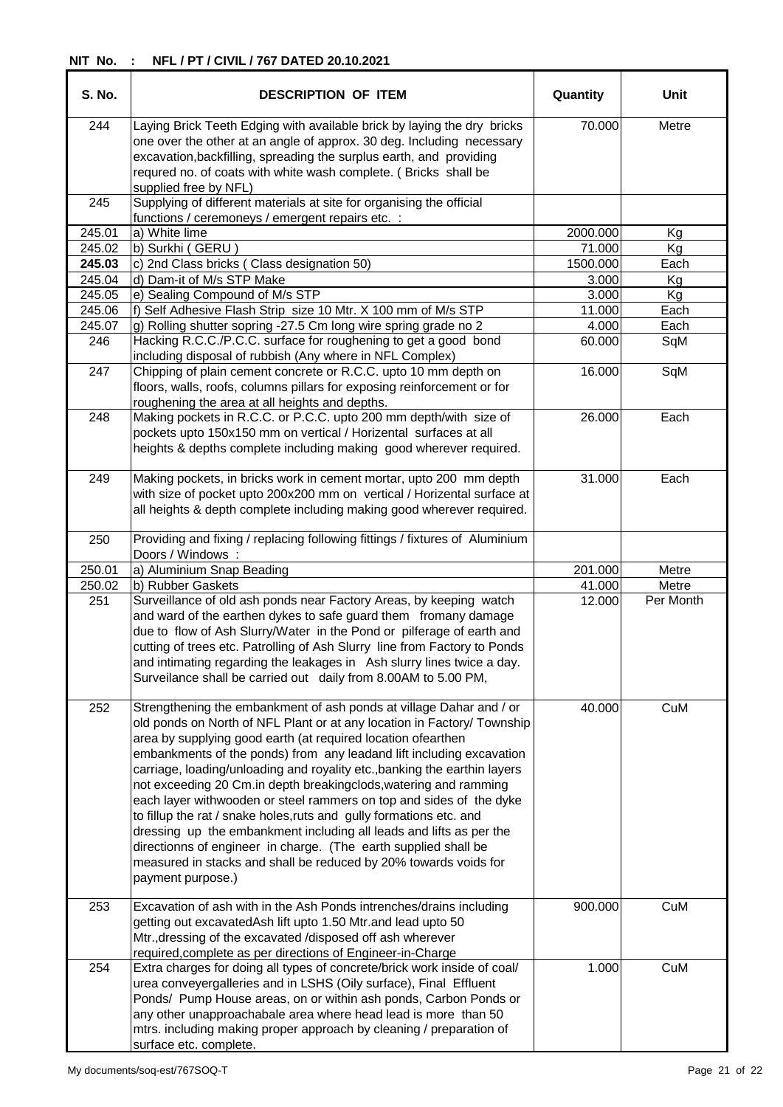| S. No. | <b>DESCRIPTION OF ITEM</b>                                                                                                                                                                                                                                                                                                                                                                                                                                                                                                                                                                                                                                                                                                                                                                                               | Quantity | Unit      |
|--------|--------------------------------------------------------------------------------------------------------------------------------------------------------------------------------------------------------------------------------------------------------------------------------------------------------------------------------------------------------------------------------------------------------------------------------------------------------------------------------------------------------------------------------------------------------------------------------------------------------------------------------------------------------------------------------------------------------------------------------------------------------------------------------------------------------------------------|----------|-----------|
| 244    | Laying Brick Teeth Edging with available brick by laying the dry bricks<br>one over the other at an angle of approx. 30 deg. Including necessary<br>excavation, backfilling, spreading the surplus earth, and providing<br>requred no. of coats with white wash complete. (Bricks shall be<br>supplied free by NFL)                                                                                                                                                                                                                                                                                                                                                                                                                                                                                                      | 70.000   | Metre     |
| 245    | Supplying of different materials at site for organising the official<br>functions / ceremoneys / emergent repairs etc. :                                                                                                                                                                                                                                                                                                                                                                                                                                                                                                                                                                                                                                                                                                 |          |           |
| 245.01 | a) White lime                                                                                                                                                                                                                                                                                                                                                                                                                                                                                                                                                                                                                                                                                                                                                                                                            | 2000.000 | Kg        |
| 245.02 | b) Surkhi (GERU)                                                                                                                                                                                                                                                                                                                                                                                                                                                                                                                                                                                                                                                                                                                                                                                                         | 71.000   | Kg        |
| 245.03 | c) 2nd Class bricks (Class designation 50)                                                                                                                                                                                                                                                                                                                                                                                                                                                                                                                                                                                                                                                                                                                                                                               | 1500.000 | Each      |
| 245.04 | d) Dam-it of M/s STP Make                                                                                                                                                                                                                                                                                                                                                                                                                                                                                                                                                                                                                                                                                                                                                                                                | 3.000    | Kg        |
| 245.05 | e) Sealing Compound of M/s STP                                                                                                                                                                                                                                                                                                                                                                                                                                                                                                                                                                                                                                                                                                                                                                                           | 3.000    | Kg        |
| 245.06 | f) Self Adhesive Flash Strip size 10 Mtr. X 100 mm of M/s STP                                                                                                                                                                                                                                                                                                                                                                                                                                                                                                                                                                                                                                                                                                                                                            | 11.000   | Each      |
| 245.07 | g) Rolling shutter sopring -27.5 Cm long wire spring grade no 2                                                                                                                                                                                                                                                                                                                                                                                                                                                                                                                                                                                                                                                                                                                                                          | 4.000    | Each      |
| 246    | Hacking R.C.C./P.C.C. surface for roughening to get a good bond<br>including disposal of rubbish (Any where in NFL Complex)                                                                                                                                                                                                                                                                                                                                                                                                                                                                                                                                                                                                                                                                                              | 60.000   | SqM       |
| 247    | Chipping of plain cement concrete or R.C.C. upto 10 mm depth on<br>floors, walls, roofs, columns pillars for exposing reinforcement or for<br>roughening the area at all heights and depths.                                                                                                                                                                                                                                                                                                                                                                                                                                                                                                                                                                                                                             | 16.000   | SqM       |
| 248    | Making pockets in R.C.C. or P.C.C. upto 200 mm depth/with size of<br>pockets upto 150x150 mm on vertical / Horizental surfaces at all<br>heights & depths complete including making good wherever required.                                                                                                                                                                                                                                                                                                                                                                                                                                                                                                                                                                                                              | 26.000   | Each      |
| 249    | Making pockets, in bricks work in cement mortar, upto 200 mm depth<br>with size of pocket upto 200x200 mm on vertical / Horizental surface at<br>all heights & depth complete including making good wherever required.                                                                                                                                                                                                                                                                                                                                                                                                                                                                                                                                                                                                   | 31.000   | Each      |
| 250    | Providing and fixing / replacing following fittings / fixtures of Aluminium<br>Doors / Windows :                                                                                                                                                                                                                                                                                                                                                                                                                                                                                                                                                                                                                                                                                                                         |          |           |
| 250.01 | a) Aluminium Snap Beading                                                                                                                                                                                                                                                                                                                                                                                                                                                                                                                                                                                                                                                                                                                                                                                                | 201.000  | Metre     |
| 250.02 | b) Rubber Gaskets                                                                                                                                                                                                                                                                                                                                                                                                                                                                                                                                                                                                                                                                                                                                                                                                        | 41.000   | Metre     |
| 251    | Surveillance of old ash ponds near Factory Areas, by keeping watch<br>and ward of the earthen dykes to safe guard them fromany damage<br>due to flow of Ash Slurry/Water in the Pond or pilferage of earth and<br>cutting of trees etc. Patrolling of Ash Slurry line from Factory to Ponds<br>and intimating regarding the leakages in Ash slurry lines twice a day.<br>Surveilance shall be carried out daily from 8.00AM to 5.00 PM,                                                                                                                                                                                                                                                                                                                                                                                  | 12.000   | Per Month |
| 252    | Strengthening the embankment of ash ponds at village Dahar and / or<br>old ponds on North of NFL Plant or at any location in Factory/ Township<br>area by supplying good earth (at required location ofearthen<br>embankments of the ponds) from any leadand lift including excavation<br>carriage, loading/unloading and royality etc., banking the earthin layers<br>not exceeding 20 Cm.in depth breakingclods, watering and ramming<br>each layer withwooden or steel rammers on top and sides of the dyke<br>to fillup the rat / snake holes, ruts and gully formations etc. and<br>dressing up the embankment including all leads and lifts as per the<br>directionns of engineer in charge. (The earth supplied shall be<br>measured in stacks and shall be reduced by 20% towards voids for<br>payment purpose.) | 40.000   | CuM       |
| 253    | Excavation of ash with in the Ash Ponds intrenches/drains including<br>getting out excavatedAsh lift upto 1.50 Mtr.and lead upto 50<br>Mtr., dressing of the excavated /disposed off ash wherever<br>required, complete as per directions of Engineer-in-Charge                                                                                                                                                                                                                                                                                                                                                                                                                                                                                                                                                          | 900.000  | CuM       |
| 254    | Extra charges for doing all types of concrete/brick work inside of coal/<br>urea conveyergalleries and in LSHS (Oily surface), Final Effluent<br>Ponds/ Pump House areas, on or within ash ponds, Carbon Ponds or<br>any other unapproachabale area where head lead is more than 50<br>mtrs. including making proper approach by cleaning / preparation of<br>surface etc. complete.                                                                                                                                                                                                                                                                                                                                                                                                                                     | 1.000    | CuM       |